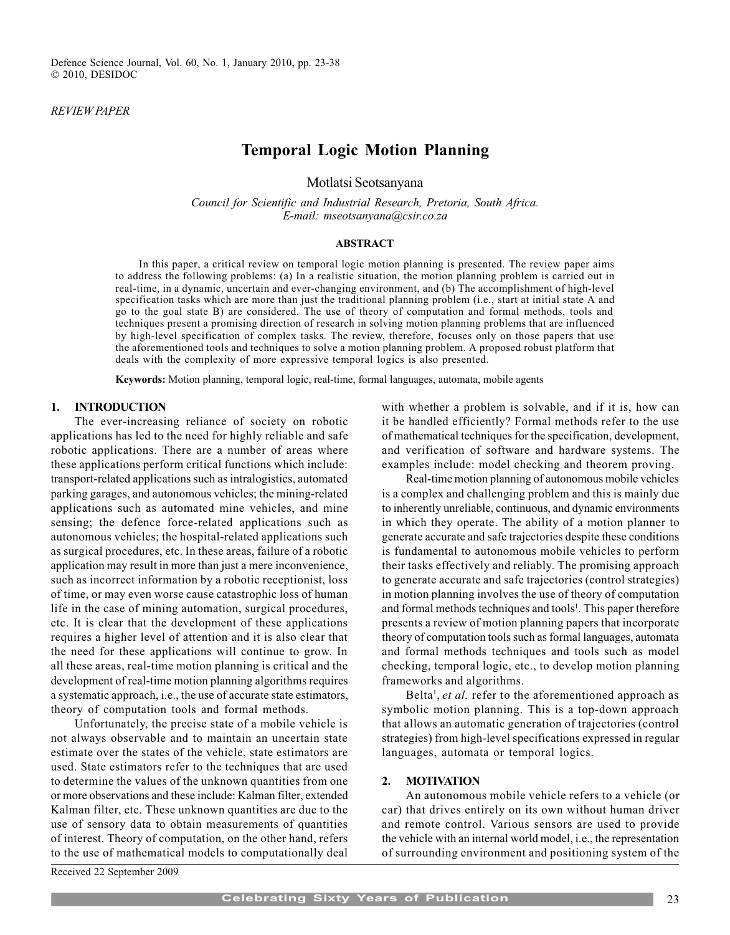#### REVIEW PAPER

# Temporal Logic Motion Planning

Motlatsi Seotsanyana

Council for Scientific and Industrial Research, Pretoria, South Africa. E-mail: mseotsanyana@csir.co.za

#### ABSTRACT

In this paper, a critical review on temporal logic motion planning is presented. The review paper aims to address the following problems: (a) In a realistic situation, the motion planning problem is carried out in real-time, in a dynamic, uncertain and ever-changing environment, and (b) The accomplishment of high-level specification tasks which are more than just the traditional planning problem (i.e., start at initial state A and go to the goal state B) are considered. The use of theory of computation and formal methods, tools and techniques present a promising direction of research in solving motion planning problems that are influenced by high-level specification of complex tasks. The review, therefore, focuses only on those papers that use the aforementioned tools and techniques to solve a motion planning problem. A proposed robust platform that deals with the complexity of more expressive temporal logics is also presented.

Keywords: Motion planning, temporal logic, real-time, formal languages, automata, mobile agents

# 1. INTRODUCTION

The ever-increasing reliance of society on robotic applications has led to the need for highly reliable and safe robotic applications. There are a number of areas where these applications perform critical functions which include: transport-related applications such as intralogistics, automated parking garages, and autonomous vehicles; the mining-related applications such as automated mine vehicles, and mine sensing; the defence force-related applications such as autonomous vehicles; the hospital-related applications such as surgical procedures, etc. In these areas, failure of a robotic application may result in more than just a mere inconvenience, such as incorrect information by a robotic receptionist, loss of time, or may even worse cause catastrophic loss of human life in the case of mining automation, surgical procedures, etc. It is clear that the development of these applications requires a higher level of attention and it is also clear that the need for these applications will continue to grow. In all these areas, real-time motion planning is critical and the development of real-time motion planning algorithms requires a systematic approach, i.e., the use of accurate state estimators, theory of computation tools and formal methods.

Unfortunately, the precise state of a mobile vehicle is not always observable and to maintain an uncertain state estimate over the states of the vehicle, state estimators are used. State estimators refer to the techniques that are used to determine the values of the unknown quantities from one or more observations and these include: Kalman filter, extended Kalman filter, etc. These unknown quantities are due to the use of sensory data to obtain measurements of quantities of interest. Theory of computation, on the other hand, refers to the use of mathematical models to computationally deal with whether a problem is solvable, and if it is, how can it be handled efficiently? Formal methods refer to the use of mathematical techniques for the specification, development, and verification of software and hardware systems. The examples include: model checking and theorem proving.

Real-time motion planning of autonomous mobile vehicles is a complex and challenging problem and this is mainly due to inherently unreliable, continuous, and dynamic environments in which they operate. The ability of a motion planner to generate accurate and safe trajectories despite these conditions is fundamental to autonomous mobile vehicles to perform their tasks effectively and reliably. The promising approach to generate accurate and safe trajectories (control strategies) in motion planning involves the use of theory of computation and formal methods techniques and tools<sup>1</sup>. This paper therefore presents a review of motion planning papers that incorporate theory of computation tools such as formal languages, automata and formal methods techniques and tools such as model checking, temporal logic, etc., to develop motion planning frameworks and algorithms.

Belta<sup>1</sup>, et al. refer to the aforementioned approach as symbolic motion planning. This is a top-down approach that allows an automatic generation of trajectories (control strategies) from high-level specifications expressed in regular languages, automata or temporal logics.

#### 2. MOTIVATION

An autonomous mobile vehicle refers to a vehicle (or car) that drives entirely on its own without human driver and remote control. Various sensors are used to provide the vehicle with an internal world model, i.e., the representation of surrounding environment and positioning system of the

Received 22 September 2009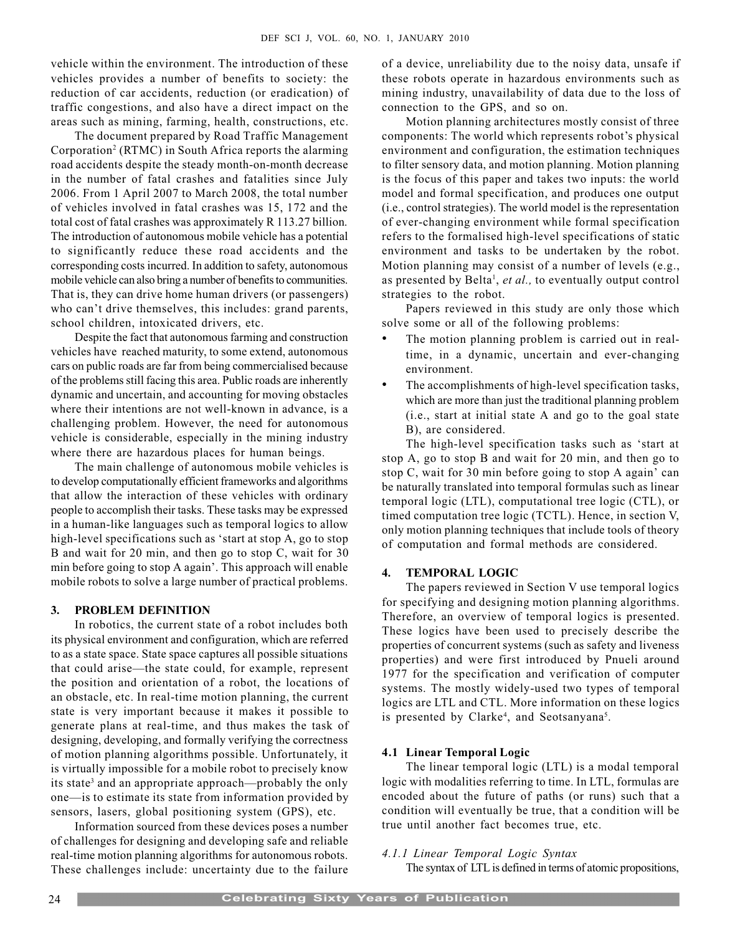vehicle within the environment. The introduction of these vehicles provides a number of benefits to society: the reduction of car accidents, reduction (or eradication) of traffic congestions, and also have a direct impact on the areas such as mining, farming, health, constructions, etc.

The document prepared by Road Traffic Management Corporation<sup>2</sup> (RTMC) in South Africa reports the alarming road accidents despite the steady month-on-month decrease in the number of fatal crashes and fatalities since July 2006. From 1 April 2007 to March 2008, the total number of vehicles involved in fatal crashes was 15, 172 and the total cost of fatal crashes was approximately R 113.27 billion. The introduction of autonomous mobile vehicle has a potential to significantly reduce these road accidents and the corresponding costs incurred. In addition to safety, autonomous mobile vehicle can also bring a number of benefits to communities. That is, they can drive home human drivers (or passengers) who can't drive themselves, this includes: grand parents, school children, intoxicated drivers, etc.

Despite the fact that autonomous farming and construction vehicles have reached maturity, to some extend, autonomous cars on public roads are far from being commercialised because of the problems still facing this area. Public roads are inherently dynamic and uncertain, and accounting for moving obstacles where their intentions are not well-known in advance, is a challenging problem. However, the need for autonomous vehicle is considerable, especially in the mining industry where there are hazardous places for human beings.

The main challenge of autonomous mobile vehicles is to develop computationally efficient frameworks and algorithms that allow the interaction of these vehicles with ordinary people to accomplish their tasks. These tasks may be expressed in a human-like languages such as temporal logics to allow high-level specifications such as 'start at stop A, go to stop B and wait for 20 min, and then go to stop C, wait for 30 min before going to stop A again'. This approach will enable mobile robots to solve a large number of practical problems.

#### 3. PROBLEM DEFINITION

In robotics, the current state of a robot includes both its physical environment and configuration, which are referred to as a state space. State space captures all possible situations that could arise—the state could, for example, represent the position and orientation of a robot, the locations of an obstacle, etc. In real-time motion planning, the current state is very important because it makes it possible to generate plans at real-time, and thus makes the task of designing, developing, and formally verifying the correctness of motion planning algorithms possible. Unfortunately, it is virtually impossible for a mobile robot to precisely know its state<sup>3</sup> and an appropriate approach—probably the only one—is to estimate its state from information provided by sensors, lasers, global positioning system (GPS), etc.

Information sourced from these devices poses a number of challenges for designing and developing safe and reliable real-time motion planning algorithms for autonomous robots. These challenges include: uncertainty due to the failure of a device, unreliability due to the noisy data, unsafe if these robots operate in hazardous environments such as mining industry, unavailability of data due to the loss of connection to the GPS, and so on.

Motion planning architectures mostly consist of three components: The world which represents robot's physical environment and configuration, the estimation techniques to filter sensory data, and motion planning. Motion planning is the focus of this paper and takes two inputs: the world model and formal specification, and produces one output (i.e., control strategies). The world model is the representation of ever-changing environment while formal specification refers to the formalised high-level specifications of static environment and tasks to be undertaken by the robot. Motion planning may consist of a number of levels (e.g., as presented by Belta<sup>1</sup>, et al., to eventually output control strategies to the robot.

Papers reviewed in this study are only those which solve some or all of the following problems:

- The motion planning problem is carried out in realtime, in a dynamic, uncertain and ever-changing environment.
- The accomplishments of high-level specification tasks, which are more than just the traditional planning problem (i.e., start at initial state A and go to the goal state B), are considered.

The high-level specification tasks such as 'start at stop A, go to stop B and wait for 20 min, and then go to stop C, wait for 30 min before going to stop A again' can be naturally translated into temporal formulas such as linear temporal logic (LTL), computational tree logic (CTL), or timed computation tree logic (TCTL). Hence, in section V, only motion planning techniques that include tools of theory of computation and formal methods are considered.

#### 4. TEMPORAL LOGIC

The papers reviewed in Section V use temporal logics for specifying and designing motion planning algorithms. Therefore, an overview of temporal logics is presented. These logics have been used to precisely describe the properties of concurrent systems (such as safety and liveness properties) and were first introduced by Pnueli around 1977 for the specification and verification of computer systems. The mostly widely-used two types of temporal logics are LTL and CTL. More information on these logics is presented by Clarke<sup>4</sup>, and Seotsanyana<sup>5</sup>.

# 4.1 Linear Temporal Logic

The linear temporal logic (LTL) is a modal temporal logic with modalities referring to time. In LTL, formulas are encoded about the future of paths (or runs) such that a condition will eventually be true, that a condition will be true until another fact becomes true, etc.

# 4.1.1 Linear Temporal Logic Syntax

The syntax of LTL is defined in terms of atomic propositions,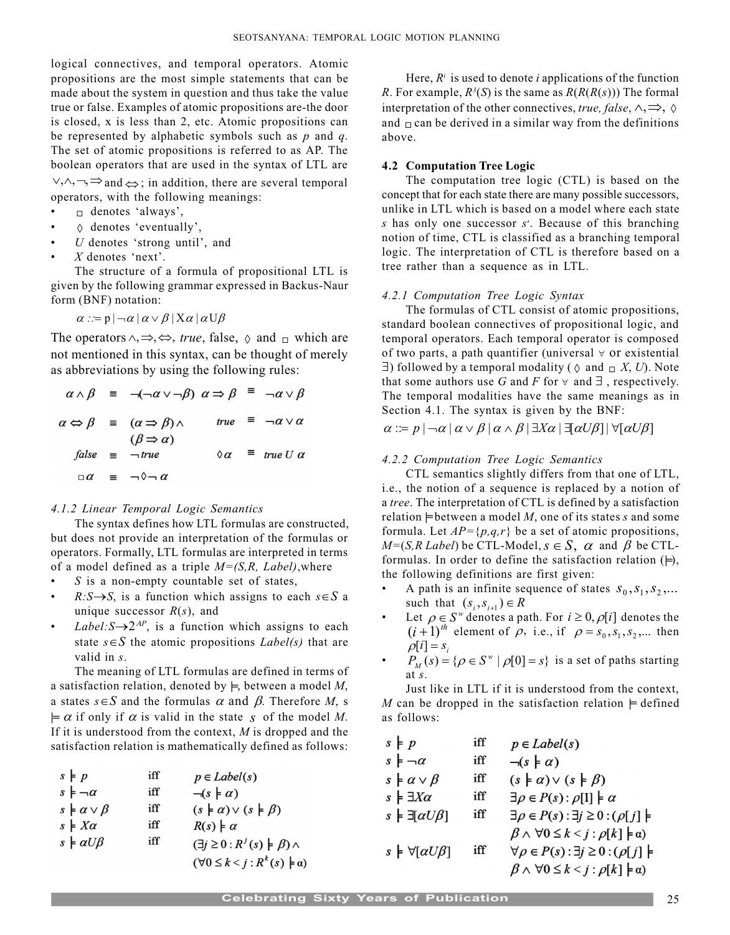logical connectives, and temporal operators. Atomic propositions are the most simple statements that can be made about the system in question and thus take the value true or false. Examples of atomic propositions are-the door is closed, x is less than 2, etc. Atomic propositions can be represented by alphabetic symbols such as  $p$  and  $q$ . The set of atomic propositions is referred to as AP. The boolean operators that are used in the syntax of LTL are  $\vee, \wedge, \neg, \Rightarrow$  and  $\Leftrightarrow$ ; in addition, there are several temporal

operators, with the following meanings:

- $\Box$  denotes 'always',
- $\diamond$  denotes 'eventually',
- $U$  denotes 'strong until', and
- $X$  denotes 'next'.

The structure of a formula of propositional LTL is given by the following grammar expressed in Backus-Naur form (BNF) notation:

$$
\alpha ::= p \mid \neg \alpha \mid \alpha \vee \beta \mid X\alpha \mid \alpha \cup \beta
$$

The operators  $\land, \Rightarrow, \Leftrightarrow$ , true, false,  $\Diamond$  and  $\Box$  which are not mentioned in this syntax, can be thought of merely as abbreviations by using the following rules:

$$
\alpha \wedge \beta \equiv \neg(\neg \alpha \vee \neg \beta) \alpha \Rightarrow \beta \equiv \neg \alpha \vee \beta
$$
  

$$
\alpha \Leftrightarrow \beta \equiv (\alpha \Rightarrow \beta) \wedge \qquad \text{true} \equiv \neg \alpha \vee \alpha
$$
  

$$
(\beta \Rightarrow \alpha)
$$
  

$$
\text{false} \equiv \neg \text{true} \qquad \Diamond \alpha \equiv \text{true } U \alpha
$$
  

$$
\Box \alpha \equiv \neg \Diamond \neg \alpha
$$

# 4.1.2 Linear Temporal Logic Semantics

The syntax defines how LTL formulas are constructed, but does not provide an interpretation of the formulas or operators. Formally, LTL formulas are interpreted in terms of a model defined as a triple  $M=(S,R, Label)$ , where

- $\bullet$  S is a non-empty countable set of states,
- $R: S \rightarrow S$ , is a function which assigns to each  $s \in S$  a unique successor  $R(s)$ , and
- Label:  $S \rightarrow 2^{AP}$ , is a function which assigns to each state  $s \in S$  the atomic propositions *Label(s)* that are valid in s.

The meaning of LTL formulas are defined in terms of a satisfaction relation, denoted by  $\models$ , between a model M, a states  $s \in S$  and the formulas  $\alpha$  and  $\beta$ . Therefore M, s  $\models \alpha$  if only if  $\alpha$  is valid in the state s of the model M. If it is understood from the context,  $M$  is dropped and the satisfaction relation is mathematically defined as follows:

| $s \nmid p$                   | iff | $p \in Label(s)$                                    |
|-------------------------------|-----|-----------------------------------------------------|
| $s \models \neg \alpha$       | iff | $\neg(s \nmid \alpha)$                              |
| $s \models \alpha \vee \beta$ | iff | $(s \nmid \alpha) \vee (s \nmid \beta)$             |
| $s \models X\alpha$           | iff | $R(s) \models \alpha$                               |
| $s \models \alpha U \beta$    | iff | $(\exists j \geq 0 : R^{j}(s) \models \beta) \land$ |
|                               |     | $(\forall 0 \leq k < j : R^{k}(s) \models \alpha)$  |

Here,  $R<sup>i</sup>$  is used to denote *i* applications of the function R. For example,  $R<sup>3</sup>(S)$  is the same as  $R(R(R(s)))$  The formal interpretation of the other connectives, true, false,  $\wedge$ ,  $\Rightarrow$ ,  $\Diamond$ and  $\Box$  can be derived in a similar way from the definitions above.

# 4.2 Computation Tree Logic

The computation tree logic (CTL) is based on the concept that for each state there are many possible successors, unlike in LTL which is based on a model where each state s has only one successor  $s'$ . Because of this branching notion of time, CTL is classified as a branching temporal logic. The interpretation of CTL is therefore based on a tree rather than a sequence as in LTL.

# 4.2.1 Computation Tree Logic Syntax

The formulas of CTL consist of atomic propositions, standard boolean connectives of propositional logic, and temporal operators. Each temporal operator is composed of two parts, a path quantifier (universal  $\forall$  or existential  $\exists$ ) followed by a temporal modality ( $\Diamond$  and  $\Box$  X, U). Note that some authors use G and F for  $\forall$  and  $\exists$ , respectively. The temporal modalities have the same meanings as in Section 4.1. The syntax is given by the BNF:

$$
\alpha ::= p \mid \neg \alpha \mid \alpha \vee \beta \mid \alpha \wedge \beta \mid \exists X \alpha \mid \exists [\alpha \cup \beta] \mid \forall [\alpha \cup \beta]
$$

#### 4.2.2 Computation Tree Logic Semantics

CTL semantics slightly differs from that one of LTL, i.e., the notion of a sequence is replaced by a notion of a tree. The interpretation of CTL is defined by a satisfaction relation  $\models$  between a model M, one of its states s and some formula. Let  $AP = \{p,q,r\}$  be a set of atomic propositions,  $M=(S, R \text{ Label})$  be CTL-Model,  $s \in S$ ,  $\alpha$  and  $\beta$  be CTLformulas. In order to define the satisfaction relation  $(\models)$ , the following definitions are first given:

- A path is an infinite sequence of states  $s_0, s_1, s_2, \dots$ such that  $(s_i, s_{i+1}) \in R$
- Let  $\rho \in S^{\omega}$  denotes a path. For  $i \geq 0$ ,  $\rho[i]$  denotes the  $(i + 1)<sup>th</sup>$  element of  $\rho$ , i.e., if  $\rho = s_0, s_1, s_2, ...$  then  $\rho[i] = s_i$
- $P_M(s) = \{ \rho \in S^{\mathcal{W}} \mid \rho[0] = s \}$  is a set of paths starting at s.

Just like in LTL if it is understood from the context, M can be dropped in the satisfaction relation  $\models$  defined as follows:

| $s \nmid p$                         | iff | $p \in Label(s)$                                              |
|-------------------------------------|-----|---------------------------------------------------------------|
| $s \models \neg \alpha$             | iff | $\neg(s \models \alpha)$                                      |
| $s \nmid \alpha \vee \beta$         | iff | $(s \nmid \alpha) \vee (s \nmid \beta)$                       |
| $s \models \exists X \alpha$        | iff | $\exists \rho \in P(s) : \rho[1] \models \alpha$              |
| $s \models \exists \alpha U\beta$   | iff | $\exists \rho \in P(s) : \exists j \geq 0 : (\rho[j])$        |
|                                     |     | $\beta \wedge \forall 0 \leq k < j : \rho[k] \models \alpha)$ |
| $s \models \forall [\alpha U\beta]$ | iff | $\forall \rho \in P(s) : \exists j \geq 0 : (\rho[j])$        |
|                                     |     | $\beta \wedge \forall 0 \leq k < j : \rho[k] \models \alpha)$ |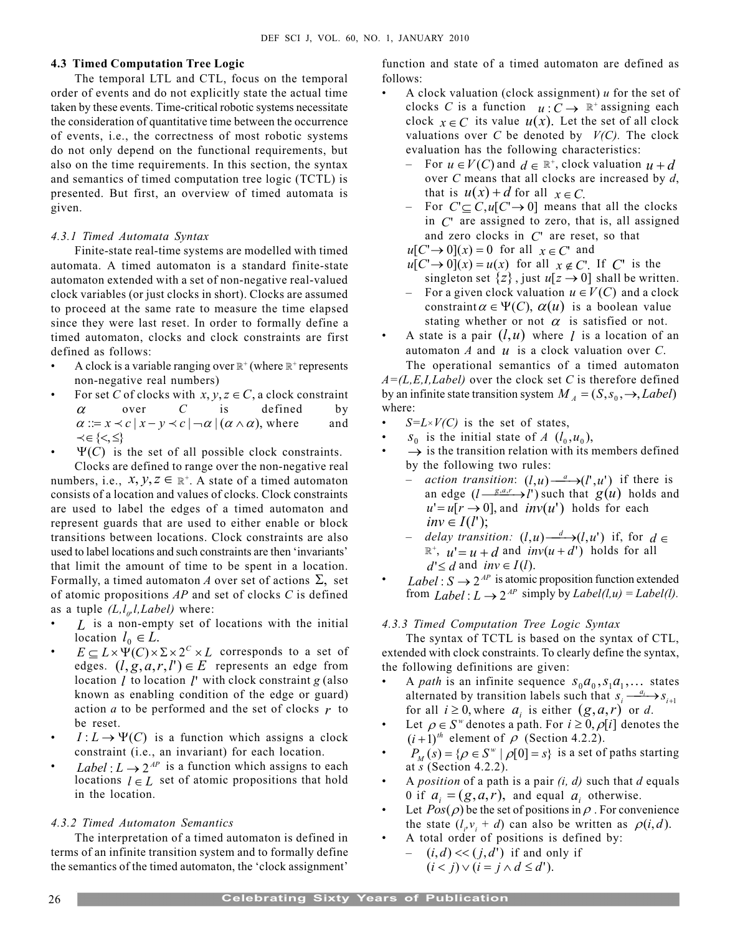#### 4.3 Timed Computation Tree Logic

The temporal LTL and CTL, focus on the temporal order of events and do not explicitly state the actual time taken by these events. Time-critical robotic systems necessitate the consideration of quantitative time between the occurrence of events, i.e., the correctness of most robotic systems do not only depend on the functional requirements, but also on the time requirements. In this section, the syntax and semantics of timed computation tree logic (TCTL) is presented. But first, an overview of timed automata is given.

#### 4.3.1 Timed Automata Syntax

Finite-state real-time systems are modelled with timed automata. A timed automaton is a standard finite-state automaton extended with a set of non-negative real-valued clock variables (or just clocks in short). Clocks are assumed to proceed at the same rate to measure the time elapsed since they were last reset. In order to formally define a timed automaton, clocks and clock constraints are first defined as follows:

- A clock is a variable ranging over  $\mathbb{R}^+$  (where  $\mathbb{R}^+$  represents non-negative real numbers)
- For set C of clocks with  $x, y, z \in C$ , a clock constraint  $\alpha$  over C is defined by  $\alpha ::= x \prec c | x - y \prec c | \neg \alpha | (\alpha \land \alpha)$ , where and  $\prec \in \{<,\leq\}$
- $\Psi(C)$  is the set of all possible clock constraints.

Clocks are defined to range over the non-negative real numbers, i.e.,  $x, y, z \in \mathbb{R}^+$ . A state of a timed automaton consists of a location and values of clocks. Clock constraints are used to label the edges of a timed automaton and represent guards that are used to either enable or block transitions between locations. Clock constraints are also used to label locations and such constraints are then 'invariants' that limit the amount of time to be spent in a location. Formally, a timed automaton A over set of actions  $\Sigma$ , set of atomic propositions  $AP$  and set of clocks  $C$  is defined as a tuple  $(L, l_{\rho}, l, Label)$  where:

- L is a non-empty set of locations with the initial location  $l_0 \in L$ .
- $E \subseteq L \times \Psi(C) \times \Sigma \times 2^C \times L$  corresponds to a set of edges.  $(l, g, a, r, l') \in E$  represents an edge from location  $l$  to location  $l'$  with clock constraint  $g$  (also known as enabling condition of the edge or guard) action a to be performed and the set of clocks  $r$  to be reset.
- $I: L \to \Psi(C)$  is a function which assigns a clock constraint (i.e., an invariant) for each location.
- Label :  $L \rightarrow 2^{AP}$  is a function which assigns to each locations  $l \in L$  set of atomic propositions that hold in the location.

#### 4.3.2 Timed Automaton Semantics

The interpretation of a timed automaton is defined in terms of an infinite transition system and to formally define the semantics of the timed automaton, the 'clock assignment'

function and state of a timed automaton are defined as follows:

- A clock valuation (clock assignment)  $u$  for the set of clocks C is a function  $u: C \to \mathbb{R}^+$  assigning each clock  $x \in C$  its value  $u(x)$ . Let the set of all clock valuations over C be denoted by  $V(C)$ . The clock evaluation has the following characteristics:
	- For  $u \in V(C)$  and  $d \in \mathbb{R}^+$ , clock valuation  $u + d$ over  $C$  means that all clocks are increased by  $d$ , that is  $u(x) + d$  for all  $x \in C$ .
	- For  $C \subseteq C, u[C \rightarrow 0]$  means that all the clocks in  $C<sup>r</sup>$  are assigned to zero, that is, all assigned and zero clocks in  $C<sup>r</sup>$  are reset, so that

 $u[C \rightarrow 0](x) = 0$  for all  $x \in C'$  and

- $u[C \rightarrow 0](x) = u(x)$  for all  $x \notin C'$ . If C' is the singleton set  $\{z\}$ , just  $u[z \rightarrow 0]$  shall be written.
- For a given clock valuation  $u \in V(C)$  and a clock constraint  $\alpha \in \Psi(C)$ ,  $\alpha(u)$  is a boolean value stating whether or not  $\alpha$  is satisfied or not.
- A state is a pair  $(l, u)$  where *l* is a location of an automaton  $A$  and  $u$  is a clock valuation over  $C$ .

The operational semantics of a timed automaton  $A=(L,E,I,Label)$  over the clock set C is therefore defined by an infinite state transition system  $M_A = (S, s_0, \rightarrow, Label)$ where:

- $S=L\times V(C)$  is the set of states,
- $S_0$  is the initial state of A  $(l_0, u_0)$ ,
- $\rightarrow$  is the transition relation with its members defined by the following two rules:
	- action transition:  $(l, u) \xrightarrow{a} (l', u')$  if there is an edge  $(l \frac{g, a, r}{\longrightarrow} l')$  such that  $g(u)$  holds and  $u'=u[r \rightarrow 0]$ , and  $inv(u')$  holds for each  $inv \in I(l')$ ;
	- delay transition:  $(l,u) \xrightarrow{d} (l,u')$  if, for  $d \in$  $\mathbb{R}^+$ ,  $u' = u + d$  and  $inv(u + d')$  holds for all  $d' \leq d$  and  $inv \in I(l)$ .
- Label :  $S \rightarrow 2^{AP}$  is atomic proposition function extended from  $Label: L \rightarrow 2^{AP}$  simply by  $Label(l, u) = Label(l)$ .

#### 4.3.3 Timed Computation Tree Logic Syntax

The syntax of TCTL is based on the syntax of CTL, extended with clock constraints. To clearly define the syntax, the following definitions are given:

- A path is an infinite sequence  $s_0a_0$ ,  $s_1a_1$ ,... states alternated by transition labels such that  $s_i \rightarrow s_{i+1}$ for all  $i \ge 0$ , where  $a_i$  is either  $(g, a, r)$  or d.
- Let  $\rho \in S^{\omega}$  denotes a path. For  $i \ge 0$ ,  $\rho[i]$  denotes the  $(i + 1)^{th}$  element of  $\rho$  (Section 4.2.2).
- $P_M(s) = \{ \rho \in S^{\omega} \mid \rho[0] = s \}$  is a set of paths starting at  $s$  (Section 4.2.2).
- A *position* of a path is a pair  $(i, d)$  such that d equals 0 if  $a_i = (g, a, r)$ , and equal  $a_i$  otherwise.
- Exercise Let  $Pos(\rho)$  be the set of positions in  $\rho$ . For convenience the state  $(l_i v_i + d)$  can also be written as  $\rho(i, d)$ .
- A total order of positions is defined by:  $(i, d) \ll (j, d')$  if and only if
	- $(i < j) \vee (i = j \wedge d \leq d').$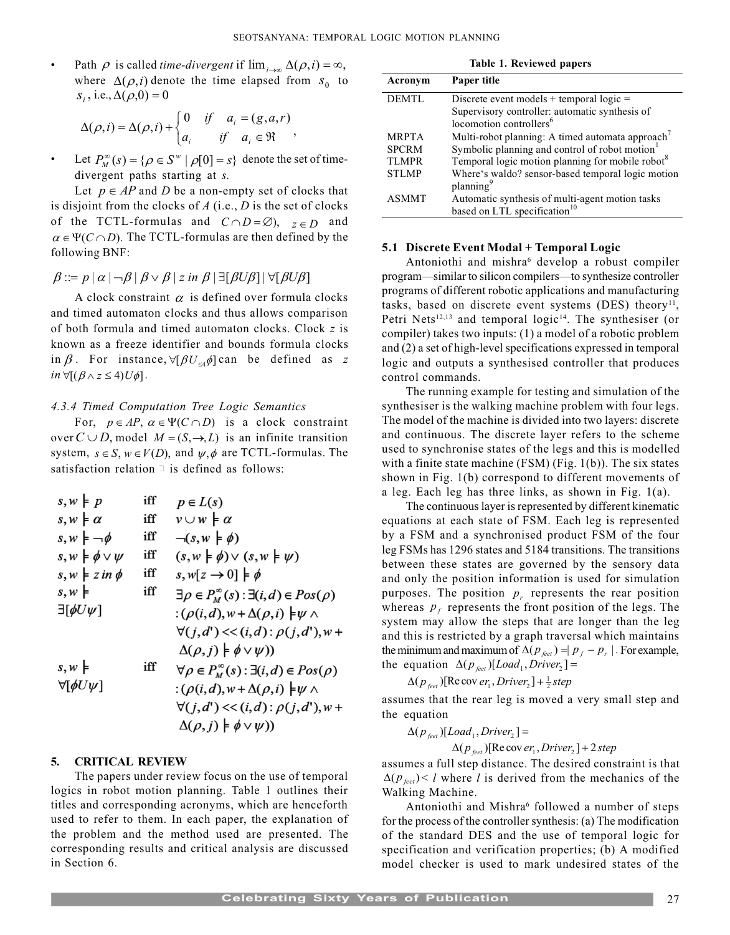Path  $\rho$  is called *time-divergent* if  $\lim_{i \to \infty} \Delta(\rho, i) = \infty$ , where  $\Delta(\rho, i)$  denote the time elapsed from  $s_0$  to  $s_i$ , i.e.,  $\Delta(\rho,0) = 0$ 

$$
\Delta(\rho, i) = \Delta(\rho, i) + \begin{cases} 0 & \text{if} \quad a_i = (g, a, r) \\ a_i & \text{if} \quad a_i \in \mathfrak{R} \end{cases},
$$

• Let  $P_M^{\infty}(s) = {\varrho \in S^{\omega} \mid \rho[0] = s}$  denote the set of timedivergent paths starting at s.

Let  $p \in AP$  and D be a non-empty set of clocks that is disjoint from the clocks of  $A$  (i.e.,  $D$  is the set of clocks of the TCTL-formulas and  $C \cap D = \emptyset$ ,  $z \in D$  and  $\alpha \in \Psi(C \cap D)$ . The TCTL-formulas are then defined by the following BNF:

# $\beta ::= p | \alpha | \neg \beta | \beta \vee \beta | z$  in  $\beta | \exists [\beta \cup \beta] | \forall [\beta \cup \beta]$

A clock constraint  $\alpha$  is defined over formula clocks and timed automaton clocks and thus allows comparison of both formula and timed automaton clocks. Clock z is known as a freeze identifier and bounds formula clocks in  $\beta$ . For instance,  $\forall [\beta U_{\leq 4} \phi]$  can be defined as z  $in \forall [(B \wedge z \leq 4)U\phi].$ 

# 4.3.4 Timed Computation Tree Logic Semantics

For,  $p \in AP$ ,  $\alpha \in \Psi(C \cap D)$  is a clock constraint over  $C \cup D$ , model  $M = (S, \rightarrow, L)$  is an infinite transition system,  $s \in S$ ,  $w \in V(D)$ , and  $\psi, \phi$  are TCTL-formulas. The satisfaction relation  $\exists$  is defined as follows:

| $s, w \models p$                  | iff | $p \in L(s)$                                                     |
|-----------------------------------|-----|------------------------------------------------------------------|
| $s, w \nmid \alpha$               | iff | $v \cup w \models \alpha$                                        |
| $s, w \models \neg \phi$          | iff | $\neg(s, w \models \phi)$                                        |
| $s, w \models \phi \vee \psi$     | iff | $(s, w \nmid \phi) \vee (s, w \nmid \psi)$                       |
| $s, w \models z \text{ in } \phi$ | iff | $s, w[z \rightarrow 0] \models \phi$                             |
| $s, w \models$                    | iff | $\exists \rho \in P_M^{\infty}(s) : \exists (i,d) \in Pos(\rho)$ |
| $\exists$ [ $\phi U \psi$ ]       |     | $:(\rho(i,d), w+\Delta(\rho,i))\models \psi \wedge$              |
|                                   |     | $\forall (j,d') \ll (i,d) : \rho(j,d'), w +$                     |
|                                   |     | $\Delta(\rho, j) \models \phi \vee \psi$ )                       |
| $s, w \nmid$                      | iff | $\forall \rho \in P_W^{\infty}(s) : \exists (i,d) \in Pos(\rho)$ |
| $\forall$ [ $\phi$ U $\psi$ ]     |     | $:(\rho(i,d), w+\Delta(\rho,i))\models \psi \wedge$              |
|                                   |     | $\forall (j,d') \ll (i,d) : \rho(j,d'), w +$                     |
|                                   |     | $\Delta(\rho, j) \models \phi \vee \psi$ )                       |
|                                   |     |                                                                  |

# 5. CRITICAL REVIEW

The papers under review focus on the use of temporal logics in robot motion planning. Table 1 outlines their titles and corresponding acronyms, which are henceforth used to refer to them. In each paper, the explanation of the problem and the method used are presented. The corresponding results and critical analysis are discussed in Section 6.

| Table 1. Reviewed papers |                                                              |  |  |
|--------------------------|--------------------------------------------------------------|--|--|
| Acronym                  | Paper title                                                  |  |  |
| <b>DEMTL</b>             | Discrete event models + temporal logic $=$                   |  |  |
|                          | Supervisory controller: automatic synthesis of               |  |  |
|                          | locomotion controllers <sup>6</sup>                          |  |  |
| <b>MRPTA</b>             | Multi-robot planning: A timed automata approach <sup>7</sup> |  |  |
| <b>SPCRM</b>             | Symbolic planning and control of robot motion                |  |  |
| <b>TLMPR</b>             | Temporal logic motion planning for mobile robot <sup>8</sup> |  |  |
| <b>STLMP</b>             | Where's waldo? sensor-based temporal logic motion            |  |  |
|                          | planning <sup>9</sup>                                        |  |  |
| <b>ASMMT</b>             | Automatic synthesis of multi-agent motion tasks              |  |  |
|                          | based on LTL specification <sup>10</sup>                     |  |  |

#### 5.1 Discrete Event Modal + Temporal Logic

Antoniothi and mishra<sup>6</sup> develop a robust compiler program—similar to silicon compilers—to synthesize controller programs of different robotic applications and manufacturing tasks, based on discrete event systems (DES) theory<sup>11</sup>, Petri Nets<sup>12,13</sup> and temporal logic<sup>14</sup>. The synthesiser (or compiler) takes two inputs: (1) a model of a robotic problem and (2) a set of high-level specifications expressed in temporal logic and outputs a synthesised controller that produces control commands.

The running example for testing and simulation of the synthesiser is the walking machine problem with four legs. The model of the machine is divided into two layers: discrete and continuous. The discrete layer refers to the scheme used to synchronise states of the legs and this is modelled with a finite state machine (FSM) (Fig. 1(b)). The six states shown in Fig. 1(b) correspond to different movements of a leg. Each leg has three links, as shown in Fig. 1(a).

The continuous layer is represented by different kinematic equations at each state of FSM. Each leg is represented by a FSM and a synchronised product FSM of the four leg FSMs has 1296 states and 5184 transitions. The transitions between these states are governed by the sensory data and only the position information is used for simulation purposes. The position  $p_r$  represents the rear position whereas  $p_f$  represents the front position of the legs. The system may allow the steps that are longer than the leg and this is restricted by a graph traversal which maintains the minimum and maximum of  $\Delta ( p_{\text{feet}} ) = | p_{f} - p_{r} |$ . For example, the equation  $\Delta(p_{\text{feet}})[Load_1, Drive_2] =$ 

 $\Delta(p_{\scriptscriptstyle{feet}})$ [Re cov er<sub>1</sub>, Driver<sub>2</sub>] +  $\frac{1}{2}$  step

assumes that the rear leg is moved a very small step and the equation

$$
\Delta(p_{\text{feet}})[Load_1, Driver_2] =
$$

 $\Delta(p_{\text{feet}})$ [Re cov er<sub>1</sub>, Driver<sub>2</sub>] + 2 step

assumes a full step distance. The desired constraint is that  $\Delta(P_{\text{feet}})$  < l where l is derived from the mechanics of the Walking Machine.

Antoniothi and Mishra<sup>6</sup> followed a number of steps for the process of the controller synthesis: (a) The modification of the standard DES and the use of temporal logic for specification and verification properties; (b) A modified model checker is used to mark undesired states of the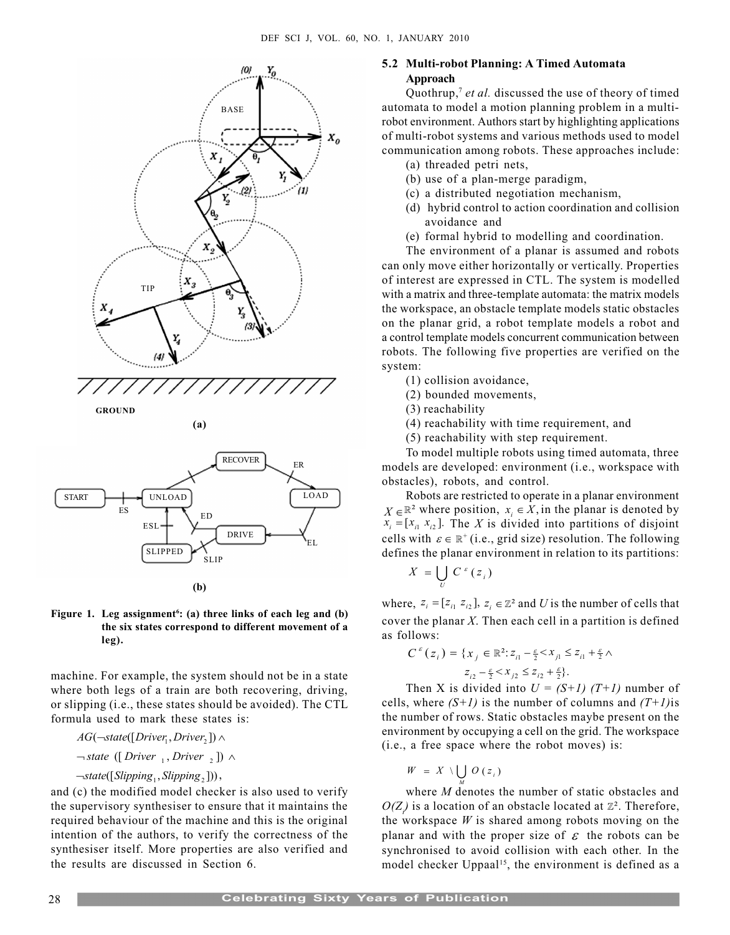





(b)

# Figure 1. Leg assignment<sup>6</sup>: (a) three links of each leg and (b) the six states correspond to different movement of a leg).

machine. For example, the system should not be in a state where both legs of a train are both recovering, driving, or slipping (i.e., these states should be avoided). The CTL formula used to mark these states is:

$$
AG(\neg state([Diriver_1, Driver_2]) \wedge
$$

 $\neg$ state ([Driver <sub>1</sub>, Driver <sub>2</sub> ])  $\wedge$ 

$$
\neg state([Slipping_1, Slipping_2]),
$$

and (c) the modified model checker is also used to verify the supervisory synthesiser to ensure that it maintains the required behaviour of the machine and this is the original intention of the authors, to verify the correctness of the synthesiser itself. More properties are also verified and the results are discussed in Section 6.

# 5.2 Multi-robot Planning: A Timed Automata Approach

Quothrup,<sup>7</sup> et al. discussed the use of theory of timed automata to model a motion planning problem in a multirobot environment. Authors start by highlighting applications of multi-robot systems and various methods used to model communication among robots. These approaches include:

- (a) threaded petri nets,
- (b) use of a plan-merge paradigm,
- (c) a distributed negotiation mechanism,
- (d) hybrid control to action coordination and collision avoidance and
- (e) formal hybrid to modelling and coordination.

The environment of a planar is assumed and robots can only move either horizontally or vertically. Properties of interest are expressed in CTL. The system is modelled with a matrix and three-template automata: the matrix models the workspace, an obstacle template models static obstacles on the planar grid, a robot template models a robot and a control template models concurrent communication between robots. The following five properties are verified on the system:

- (1) collision avoidance,
- (2) bounded movements,
- (3) reachability
- (4) reachability with time requirement, and
- (5) reachability with step requirement.

To model multiple robots using timed automata, three models are developed: environment (i.e., workspace with obstacles), robots, and control.

Robots are restricted to operate in a planar environment  $X \in \mathbb{R}^2$  where position,  $x_i \in X$ , in the planar is denoted by  $x_i = [x_{i1} \ x_{i2}]$ . The X is divided into partitions of disjoint cells with  $\varepsilon \in \mathbb{R}^+$  (i.e., grid size) resolution. The following defines the planar environment in relation to its partitions:

$$
X = \bigcup_{U} C^{\varepsilon}(z_i)
$$

where,  $z_i = [ z_{i1} \ z_{i2}], z_i \in \mathbb{Z}^2$  and U is the number of cells that cover the planar  $X$ . Then each cell in a partition is defined as follows:

$$
C^{\varepsilon}(z_i) = \{x_j \in \mathbb{R}^2 : z_{i1} - \frac{\varepsilon}{2} < x_{j1} \le z_{i1} + \frac{\varepsilon}{2} \land z_{i2} - \frac{\varepsilon}{2} < x_{j2} \le z_{i2} + \frac{\varepsilon}{2} \}.
$$

Then X is divided into  $U = (S+1)$  (T+1) number of cells, where  $(S+1)$  is the number of columns and  $(T+1)$ is the number of rows. Static obstacles maybe present on the environment by occupying a cell on the grid. The workspace (i.e., a free space where the robot moves) is:

$$
W = X \setminus \bigcup_M O(z_i)
$$

where *M* denotes the number of static obstacles and  $O(Z)$  is a location of an obstacle located at  $\mathbb{Z}^2$ . Therefore, the workspace  $W$  is shared among robots moving on the planar and with the proper size of  $\varepsilon$  the robots can be synchronised to avoid collision with each other. In the model checker Uppaal<sup>15</sup>, the environment is defined as a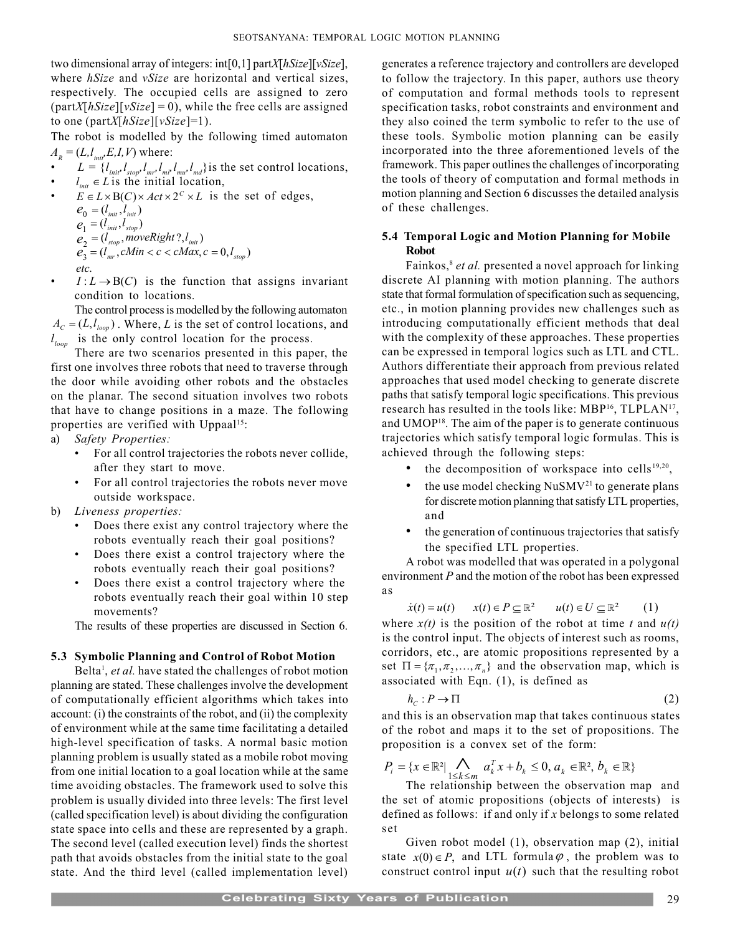two dimensional array of integers: int[0,1] partX[hSize][vSize], where *hSize* and *vSize* are horizontal and vertical sizes, respectively. The occupied cells are assigned to zero  $(partX[hsize][vSize] = 0)$ , while the free cells are assigned to one (partX[ $hSize$ ][ $vSize$ ]=1).

The robot is modelled by the following timed automaton  $A<sub>R</sub> = (L, l<sub>init</sub>, E, I, V)$  where:

- $\bullet$   $L = \{l_{\text{init}}^{\text{}}\cdot l_{\text{stop}}^{\text{}}\cdot l_{\text{m}l}^{\text{}}\cdot l_{\text{mu}}^{\text{}}\cdot l_{\text{mu}}^{\text{}}\cdot l_{\text{mu}}^{\text{}}\}$  is the set control locations,
- $\bullet$   $l_{\text{init}} \in L$  is the initial location,
- $E \in L \times B(C) \times Act \times 2^C \times L$  is the set of edges,  $e_0 = (l_{\text{init}}, l_{\text{init}})$  $e_1 = (l_{\text{init}}, l_{\text{stop}})$  $e_2 = (l_{stop}, moveRight?, l_{init})$  $e_3 = (l_{mr}, cMin < c < cMax, c = 0, l_{stop})$ 
	- etc.
- $I: L \rightarrow B(C)$  is the function that assigns invariant condition to locations.

The control process is modelled by the following automaton  $A_c = (L, l_{loop})$ . Where, L is the set of control locations, and  $l_{loop}$  is the only control location for the process.

There are two scenarios presented in this paper, the first one involves three robots that need to traverse through the door while avoiding other robots and the obstacles on the planar. The second situation involves two robots that have to change positions in a maze. The following properties are verified with Uppaal<sup>15</sup>:

- a) Safety Properties:
	- For all control trajectories the robots never collide, after they start to move.
	- For all control trajectories the robots never move outside workspace.
- b) Liveness properties:
	- Does there exist any control trajectory where the robots eventually reach their goal positions?
	- Does there exist a control trajectory where the robots eventually reach their goal positions?
	- Does there exist a control trajectory where the robots eventually reach their goal within 10 step movements?

The results of these properties are discussed in Section 6.

# 5.3 Symbolic Planning and Control of Robot Motion

Belta<sup>1</sup>, et al. have stated the challenges of robot motion planning are stated. These challenges involve the development of computationally efficient algorithms which takes into account: (i) the constraints of the robot, and (ii) the complexity of environment while at the same time facilitating a detailed high-level specification of tasks. A normal basic motion planning problem is usually stated as a mobile robot moving from one initial location to a goal location while at the same time avoiding obstacles. The framework used to solve this problem is usually divided into three levels: The first level (called specification level) is about dividing the configuration state space into cells and these are represented by a graph. The second level (called execution level) finds the shortest path that avoids obstacles from the initial state to the goal state. And the third level (called implementation level)

generates a reference trajectory and controllers are developed to follow the trajectory. In this paper, authors use theory of computation and formal methods tools to represent specification tasks, robot constraints and environment and they also coined the term symbolic to refer to the use of these tools. Symbolic motion planning can be easily incorporated into the three aforementioned levels of the framework. This paper outlines the challenges of incorporating the tools of theory of computation and formal methods in motion planning and Section 6 discusses the detailed analysis of these challenges.

# 5.4 Temporal Logic and Motion Planning for Mobile Robot

Fainkos,<sup>8</sup> et al. presented a novel approach for linking discrete AI planning with motion planning. The authors state that formal formulation of specification such as sequencing, etc., in motion planning provides new challenges such as introducing computationally efficient methods that deal with the complexity of these approaches. These properties can be expressed in temporal logics such as LTL and CTL. Authors differentiate their approach from previous related approaches that used model checking to generate discrete paths that satisfy temporal logic specifications. This previous research has resulted in the tools like: MBP<sup>16</sup>, TLPLAN<sup>17</sup>, and UMOP<sup>18</sup>. The aim of the paper is to generate continuous trajectories which satisfy temporal logic formulas. This is achieved through the following steps:

- the decomposition of workspace into cells<sup>19,20</sup>,
- the use model checking  $NuSMV<sup>21</sup>$  to generate plans for discrete motion planning that satisfy LTL properties, and
- the generation of continuous trajectories that satisfy the specified LTL properties.

A robot was modelled that was operated in a polygonal environment P and the motion of the robot has been expressed as

$$
\dot{x}(t) = u(t) \qquad x(t) \in P \subseteq \mathbb{R}^2 \qquad u(t) \in U \subseteq \mathbb{R}^2 \qquad (1)
$$

where  $x(t)$  is the position of the robot at time t and  $u(t)$ is the control input. The objects of interest such as rooms, corridors, etc., are atomic propositions represented by a set  $\Pi = \{\pi_1, \pi_2, ..., \pi_n\}$  and the observation map, which is associated with Eqn. (1), is defined as

$$
h_c: P \to \Pi
$$
 (2)

and this is an observation map that takes continuous states of the robot and maps it to the set of propositions. The proposition is a convex set of the form:

$$
P_i = \{x \in \mathbb{R}^2 | \bigwedge_{1 \le k \le m} a_k^T x + b_k \le 0, a_k \in \mathbb{R}^2, b_k \in \mathbb{R}\}
$$

The relationship between the observation map and the set of atomic propositions (objects of interests) is defined as follows: if and only if  $x$  belongs to some related set

Given robot model (1), observation map (2), initial state  $x(0) \in P$ , and LTL formula  $\varphi$ , the problem was to construct control input  $u(t)$  such that the resulting robot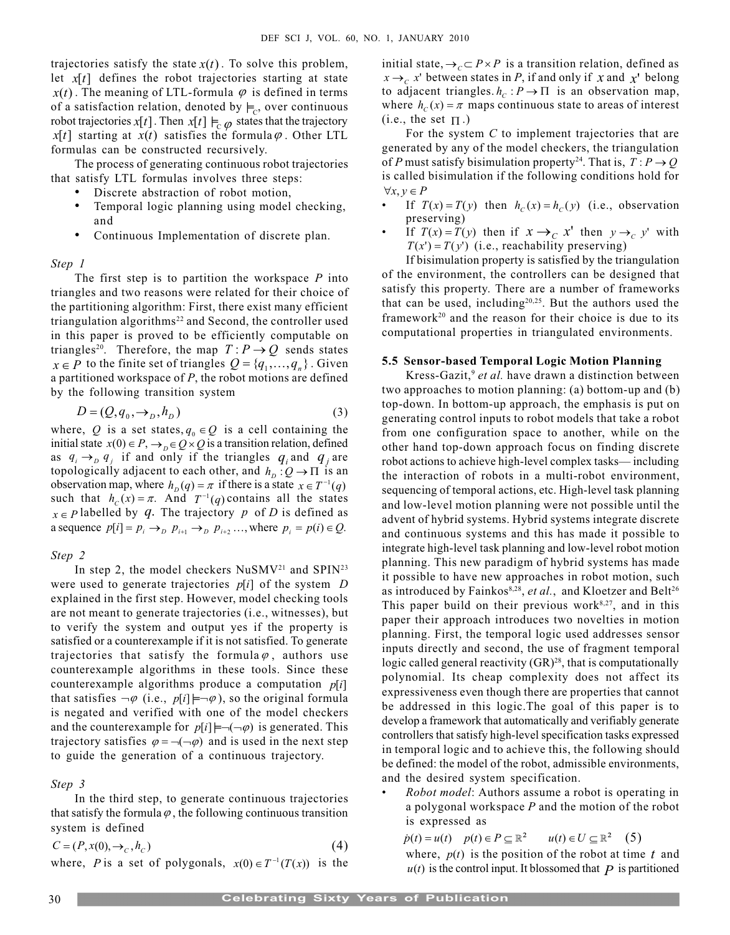trajectories satisfy the state  $x(t)$ . To solve this problem, let  $x[t]$  defines the robot trajectories starting at state  $x(t)$ . The meaning of LTL-formula  $\varphi$  is defined in terms of a satisfaction relation, denoted by  $\models_c$ , over continuous robot trajectories x[t]. Then x[t]  $\models_{\mathcal{C}} \varphi$  states that the trajectory  $x[t]$  starting at  $x(t)$  satisfies the formula  $\varphi$ . Other LTL formulas can be constructed recursively.

The process of generating continuous robot trajectories that satisfy LTL formulas involves three steps:

- Discrete abstraction of robot motion,
- Temporal logic planning using model checking, and
- Continuous Implementation of discrete plan.

#### Step 1

The first step is to partition the workspace  $P$  into triangles and two reasons were related for their choice of the partitioning algorithm: First, there exist many efficient triangulation algorithms<sup>22</sup> and Second, the controller used in this paper is proved to be efficiently computable on triangles<sup>20</sup>. Therefore, the map  $T: P \rightarrow Q$  sends states  $x \in P$  to the finite set of triangles  $Q = \{q_1, ..., q_n\}$ . Given a partitioned workspace of  $P$ , the robot motions are defined by the following transition system

$$
D = (Q, q_0, \rightarrow_D, h_D) \tag{3}
$$

where, Q is a set states,  $q_0 \in Q$  is a cell containing the initial state  $x(0) \in P$ ,  $\rightarrow$ <sub>0</sub> $\in Q \times Q$  is a transition relation, defined as  $q_i \rightarrow_p q_j$  if and only if the triangles  $q_i$  and  $q_j$  are topologically adjacent to each other, and  $h_D : Q \to \Pi$  is an observation map, where  $h_D(q) = \pi$  if there is a state  $x \in T^{-1}(q)$ such that  $h_c(x) = \pi$ . And  $T^{-1}(q)$  contains all the states  $x \in P$  labelled by  $q$ . The trajectory p of D is defined as a sequence  $p[i] = p_i \rightarrow_{\text{D}} p_{i+1} \rightarrow_{\text{D}} p_{i+2} \dots$ , where  $p_i = p(i) \in Q$ .

Step 2

In step 2, the model checkers  $NuSMV^{21}$  and  $SPIN^{23}$ were used to generate trajectories  $p[i]$  of the system  $D$ explained in the first step. However, model checking tools are not meant to generate trajectories (i.e., witnesses), but to verify the system and output yes if the property is satisfied or a counterexample if it is not satisfied. To generate trajectories that satisfy the formula  $\varphi$ , authors use counterexample algorithms in these tools. Since these counterexample algorithms produce a computation  $p[i]$ that satisfies  $\neg \varphi$  (i.e.,  $p[i] \models \neg \varphi$ ), so the original formula is negated and verified with one of the model checkers and the counterexample for  $p[i] \models \neg(\neg \varphi)$  is generated. This trajectory satisfies  $\varphi = \neg(\neg \varphi)$  and is used in the next step to guide the generation of a continuous trajectory.

# Step 3

In the third step, to generate continuous trajectories that satisfy the formula  $\varphi$ , the following continuous transition system is defined

 $C = (P, x(0), \to_c, h_c)$  (4)

where, P is a set of polygonals,  $x(0) \in T^{-1}(T(x))$  is the

initial state,  $\rightarrow$ <sub>C</sub> $\subset$  P  $\times$  P is a transition relation, defined as  $x \rightarrow_c x'$  between states in P, if and only if x and  $x'$  belong to adjacent triangles.  $h_c : P \to \Pi$  is an observation map, where  $h_c(x) = \pi$  maps continuous state to areas of interest (i.e., the set  $\Pi$ .)

For the system  $C$  to implement trajectories that are generated by any of the model checkers, the triangulation of P must satisfy bisimulation property<sup>24</sup>. That is,  $T: P \rightarrow Q$ is called bisimulation if the following conditions hold for  $\forall x, y \in P$ 

- If  $T(x) = T(y)$  then  $h_c(x) = h_c(y)$  (i.e., observation preserving)
- If  $T(x) = T(y)$  then if  $x \rightarrow_C x'$  then  $y \rightarrow_C y'$  with  $T(x') = T(y')$  (i.e., reachability preserving)

If bisimulation property is satisfied by the triangulation of the environment, the controllers can be designed that satisfy this property. There are a number of frameworks that can be used, including $20,25$ . But the authors used the framework<sup>20</sup> and the reason for their choice is due to its computational properties in triangulated environments.

#### 5.5 Sensor-based Temporal Logic Motion Planning

Kress-Gazit,<sup>9</sup> et al. have drawn a distinction between two approaches to motion planning: (a) bottom-up and (b) top-down. In bottom-up approach, the emphasis is put on generating control inputs to robot models that take a robot from one configuration space to another, while on the other hand top-down approach focus on finding discrete robot actions to achieve high-level complex tasks—including the interaction of robots in a multi-robot environment, sequencing of temporal actions, etc. High-level task planning and low-level motion planning were not possible until the advent of hybrid systems. Hybrid systems integrate discrete and continuous systems and this has made it possible to integrate high-level task planning and low-level robot motion planning. This new paradigm of hybrid systems has made it possible to have new approaches in robot motion, such as introduced by Fainkos<sup>8,28</sup>, et al., and Kloetzer and Belt<sup>26</sup> This paper build on their previous work $8,27$ , and in this paper their approach introduces two novelties in motion planning. First, the temporal logic used addresses sensor inputs directly and second, the use of fragment temporal logic called general reactivity  $(GR)^{28}$ , that is computationally polynomial. Its cheap complexity does not affect its expressiveness even though there are properties that cannot be addressed in this logic.The goal of this paper is to develop a framework that automatically and verifiably generate controllers that satisfy high-level specification tasks expressed in temporal logic and to achieve this, the following should be defined: the model of the robot, admissible environments, and the desired system specification.

 Robot model: Authors assume a robot is operating in a polygonal workspace  $P$  and the motion of the robot is expressed as

 $\dot{p}(t) = u(t)$   $p(t) \in P \subseteq \mathbb{R}^2$   $u(t) \in U \subseteq \mathbb{R}^2$  (5) where,  $p(t)$  is the position of the robot at time t and  $u(t)$  is the control input. It blossomed that  $P$  is partitioned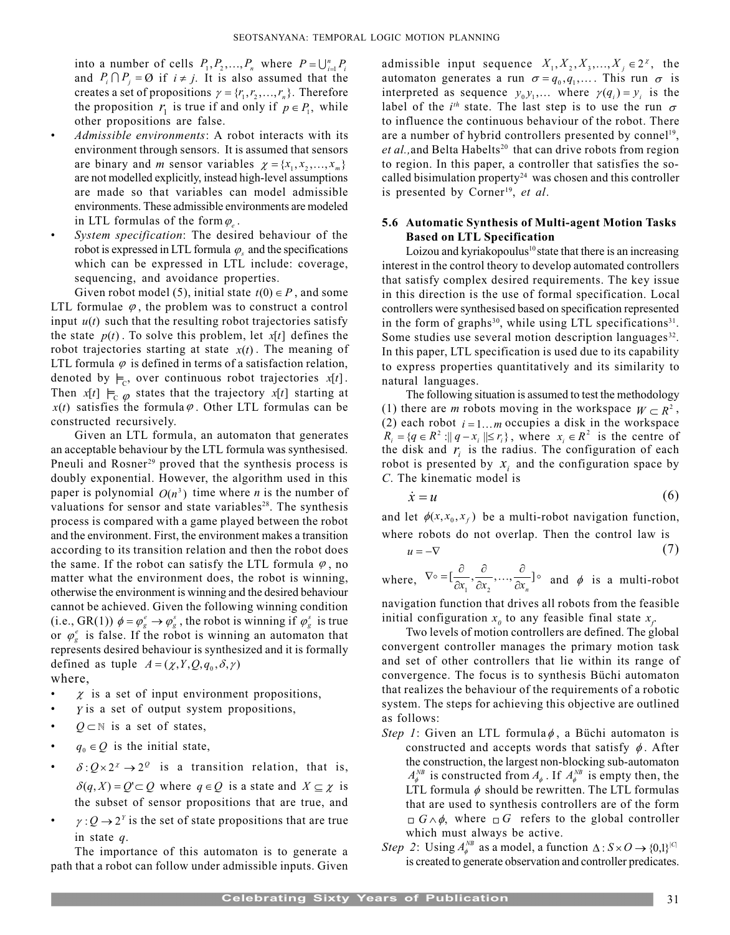into a number of cells  $P_1, P_2, ..., P_n$  where  $P = \bigcup_{i=1}^n P_i$ and  $P_i \cap P_j = \emptyset$  if  $i \neq j$ . It is also assumed that the creates a set of propositions  $\gamma = \{r_1, r_2, ..., r_n\}$ . Therefore the proposition  $r_1$  is true if and only if  $p \in P_1$ , while other propositions are false.

- Admissible environments: A robot interacts with its environment through sensors. It is assumed that sensors are binary and *m* sensor variables  $\chi = \{x_1, x_2, ..., x_m\}$ are not modelled explicitly, instead high-level assumptions are made so that variables can model admissible environments. These admissible environments are modeled in LTL formulas of the form  $\varphi$ .
- System specification: The desired behaviour of the robot is expressed in LTL formula  $\varphi_s$  and the specifications which can be expressed in LTL include: coverage, sequencing, and avoidance properties.

Given robot model (5), initial state  $t(0) \in P$ , and some LTL formulae  $\varphi$ , the problem was to construct a control input  $u(t)$  such that the resulting robot trajectories satisfy the state  $p(t)$ . To solve this problem, let  $x[t]$  defines the robot trajectories starting at state  $x(t)$ . The meaning of LTL formula  $\varphi$  is defined in terms of a satisfaction relation, denoted by  $\models$ , over continuous robot trajectories x[t]. Then  $x[t] \vDash_{\mathbb{C}} \varphi$  states that the trajectory  $x[t]$  starting at  $x(t)$  satisfies the formula  $\varphi$ . Other LTL formulas can be constructed recursively.

Given an LTL formula, an automaton that generates an acceptable behaviour by the LTL formula was synthesised. Pneuli and Rosner<sup>29</sup> proved that the synthesis process is doubly exponential. However, the algorithm used in this paper is polynomial  $O(n^3)$  time where *n* is the number of valuations for sensor and state variables<sup>28</sup>. The synthesis process is compared with a game played between the robot and the environment. First, the environment makes a transition according to its transition relation and then the robot does the same. If the robot can satisfy the LTL formula  $\varphi$ , no matter what the environment does, the robot is winning, otherwise the environment is winning and the desired behaviour cannot be achieved. Given the following winning condition (i.e., GR(1))  $\phi = \varphi_g^e \rightarrow \varphi_g^s$ , the robot is winning if  $\varphi_g^s$  is true or  $\varphi_{\varrho}^e$  is false. If the robot is winning an automaton that represents desired behaviour is synthesized and it is formally defined as tuple  $A = (\chi, Y, Q, q_0, \delta, \gamma)$ where,

- $\chi$  is a set of input environment propositions,
- Y is a set of output system propositions,
- $Q \subset \mathbb{N}$  is a set of states,
- $q_0 \in Q$  is the initial state,
- $\delta$ :  $Q \times 2^z \rightarrow 2^Q$  is a transition relation, that is,  $\delta(q, X) = Q' \subset Q$  where  $q \in Q$  is a state and  $X \subseteq \chi$  is the subset of sensor propositions that are true, and
- $\gamma: Q \to 2^Y$  is the set of state propositions that are true in state q.

The importance of this automaton is to generate a path that a robot can follow under admissible inputs. Given

admissible input sequence  $X_1, X_2, X_3, ..., X_j \in 2^{\chi}$ , the automaton generates a run  $\sigma = q_0, q_1, \dots$ . This run  $\sigma$  is interpreted as sequence  $y_0 y_1$ ,... where  $\gamma(q_i) = y_i$  is the label of the *i*<sup>th</sup> state. The last step is to use the run  $\sigma$ to influence the continuous behaviour of the robot. There are a number of hybrid controllers presented by connel<sup>19</sup>,  $et al.,$  and Belta Habelts<sup>20</sup> that can drive robots from region to region. In this paper, a controller that satisfies the socalled bisimulation property<sup>24</sup> was chosen and this controller is presented by Corner<sup>19</sup>, et al.

# 5.6 Automatic Synthesis of Multi-agent Motion Tasks Based on LTL Specification

Loizou and kyriakopoulus<sup>10</sup> state that there is an increasing interest in the control theory to develop automated controllers that satisfy complex desired requirements. The key issue in this direction is the use of formal specification. Local controllers were synthesised based on specification represented in the form of graphs<sup>30</sup>, while using LTL specifications<sup>31</sup>. Some studies use several motion description languages<sup>32</sup>. In this paper, LTL specification is used due to its capability to express properties quantitatively and its similarity to natural languages.

The following situation is assumed to test the methodology (1) there are *m* robots moving in the workspace  $W \subset R^2$ , (2) each robot  $i = 1...m$  occupies a disk in the workspace  $R_i = \{ q \in R^2 : ||q - x_i|| \le r_i \}, \text{ where } x_i \in R^2 \text{ is the centre of }$ the disk and  $r_i$  is the radius. The configuration of each robot is presented by  $x_i$  and the configuration space by C. The kinematic model is

$$
\dot{x} = u \tag{6}
$$

and let  $\phi(x, x_0, x_f)$  be a multi-robot navigation function, where robots do not overlap. Then the control law is

$$
u = -\nabla \tag{7}
$$

where, 
$$
\nabla \circ = [\frac{\partial}{\partial x_1}, \frac{\partial}{\partial x_2}, ..., \frac{\partial}{\partial x_n}] \circ
$$
 and  $\phi$  is a multi-robot

navigation function that drives all robots from the feasible initial configuration  $x_0$  to any feasible final state  $x_f$ .

Two levels of motion controllers are defined. The global convergent controller manages the primary motion task and set of other controllers that lie within its range of convergence. The focus is to synthesis Büchi automaton that realizes the behaviour of the requirements of a robotic system. The steps for achieving this objective are outlined as follows:

- Step 1: Given an LTL formula $\phi$ , a Büchi automaton is constructed and accepts words that satisfy  $\phi$ . After the construction, the largest non-blocking sub-automaton  $A_{\phi}^{NB}$  is constructed from  $A_{\phi}$ . If  $A_{\phi}^{NB}$  is empty then, the LTL formula  $\phi$  should be rewritten. The LTL formulas that are used to synthesis controllers are of the form  $G \wedge \phi$ , where  $\Box G$  refers to the global controller which must always be active.
- Step 2: Using  $A_{\phi}^{NB}$  as a model, a function  $\Delta: S \times O \rightarrow \{0,1\}^{|C|}$ is created to generate observation and controller predicates.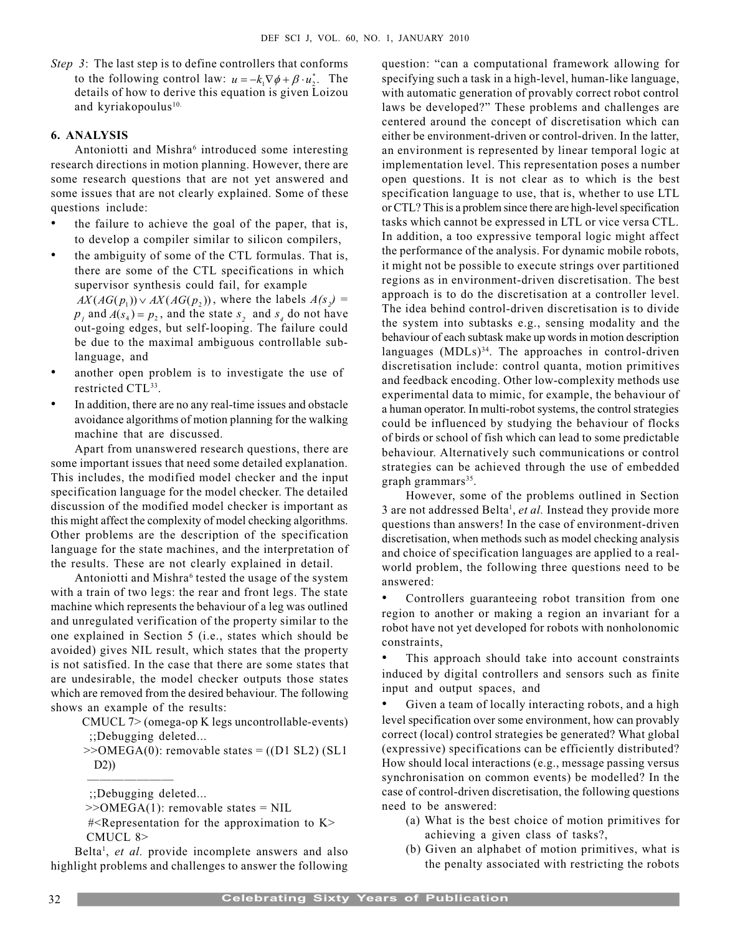Step 3: The last step is to define controllers that conforms to the following control law:  $u = -k_1 \nabla \phi + \beta \cdot u_2^*$ . The details of how to derive this equation is given Loizou and kyriakopoulus<sup>10.</sup>

# 6. ANALYSIS

Antoniotti and Mishra<sup>6</sup> introduced some interesting research directions in motion planning. However, there are some research questions that are not yet answered and some issues that are not clearly explained. Some of these questions include:

- the failure to achieve the goal of the paper, that is, to develop a compiler similar to silicon compilers,
- the ambiguity of some of the CTL formulas. That is, there are some of the CTL specifications in which supervisor synthesis could fail, for example  $AX(AG(p_1)) \vee AX(AG(p_2))$ , where the labels  $A(s_2)$  =  $p_1$  and  $A(s_4) = p_2$ , and the state  $s_2$  and  $s_4$  do not have out-going edges, but self-looping. The failure could be due to the maximal ambiguous controllable sublanguage, and
- another open problem is to investigate the use of restricted CTL<sup>33</sup>.
- In addition, there are no any real-time issues and obstacle avoidance algorithms of motion planning for the walking machine that are discussed.

Apart from unanswered research questions, there are some important issues that need some detailed explanation. This includes, the modified model checker and the input specification language for the model checker. The detailed discussion of the modified model checker is important as this might affect the complexity of model checking algorithms. Other problems are the description of the specification language for the state machines, and the interpretation of the results. These are not clearly explained in detail.

Antoniotti and Mishra<sup>6</sup> tested the usage of the system with a train of two legs: the rear and front legs. The state machine which represents the behaviour of a leg was outlined and unregulated verification of the property similar to the one explained in Section 5 (i.e., states which should be avoided) gives NIL result, which states that the property is not satisfied. In the case that there are some states that are undesirable, the model checker outputs those states which are removed from the desired behaviour. The following shows an example of the results:

> CMUCL 7> (omega-op K legs uncontrollable-events) ;;Debugging deleted...

> $>>OMEGA(0)$ : removable states = ((D1 SL2) (SL1) D2))

;;Debugging deleted...

 $\begin{tabular}{ll} \multicolumn{2}{c} {\textbf{1}} & \multicolumn{2}{c} {\textbf{2}} & \multicolumn{2}{c} {\textbf{3}} & \multicolumn{2}{c} {\textbf{4}} & \multicolumn{2}{c} {\textbf{5}} & \multicolumn{2}{c} {\textbf{6}} & \multicolumn{2}{c} {\textbf{6}} & \multicolumn{2}{c} {\textbf{7}} \\ \multicolumn{2}{c} {\textbf{1}} & \multicolumn{2}{c} {\textbf{1}} & \multicolumn{2}{c} {\textbf{1}} & \multicolumn{2}{c} {\textbf{1}} & \multicolumn{2}{c} {\textbf{1}} & \multicolumn$ 

Belta<sup>1</sup>, et al. provide incomplete answers and also highlight problems and challenges to answer the following question: "can a computational framework allowing for specifying such a task in a high-level, human-like language, with automatic generation of provably correct robot control laws be developed?" These problems and challenges are centered around the concept of discretisation which can either be environment-driven or control-driven. In the latter, an environment is represented by linear temporal logic at implementation level. This representation poses a number open questions. It is not clear as to which is the best specification language to use, that is, whether to use LTL or CTL? This is a problem since there are high-level specification tasks which cannot be expressed in LTL or vice versa CTL. In addition, a too expressive temporal logic might affect the performance of the analysis. For dynamic mobile robots, it might not be possible to execute strings over partitioned regions as in environment-driven discretisation. The best approach is to do the discretisation at a controller level. The idea behind control-driven discretisation is to divide the system into subtasks e.g., sensing modality and the behaviour of each subtask make up words in motion description languages  $(MD Ls)<sup>34</sup>$ . The approaches in control-driven discretisation include: control quanta, motion primitives and feedback encoding. Other low-complexity methods use experimental data to mimic, for example, the behaviour of a human operator. In multi-robot systems, the control strategies could be influenced by studying the behaviour of flocks of birds or school of fish which can lead to some predictable behaviour. Alternatively such communications or control strategies can be achieved through the use of embedded graph grammars $35$ .

However, some of the problems outlined in Section 3 are not addressed Belta<sup>1</sup>, et al. Instead they provide more questions than answers! In the case of environment-driven discretisation, when methods such as model checking analysis and choice of specification languages are applied to a realworld problem, the following three questions need to be answered:

 Controllers guaranteeing robot transition from one region to another or making a region an invariant for a robot have not yet developed for robots with nonholonomic constraints,

 This approach should take into account constraints induced by digital controllers and sensors such as finite input and output spaces, and

 Given a team of locally interacting robots, and a high level specification over some environment, how can provably correct (local) control strategies be generated? What global (expressive) specifications can be efficiently distributed? How should local interactions (e.g., message passing versus synchronisation on common events) be modelled? In the case of control-driven discretisation, the following questions need to be answered:

- (a) What is the best choice of motion primitives for achieving a given class of tasks?,
- (b) Given an alphabet of motion primitives, what is the penalty associated with restricting the robots

 $>>OMEGA(1)$ : removable states = NIL

 <sup>#&</sup>lt;Representation for the approximation to K> CMUCL 8>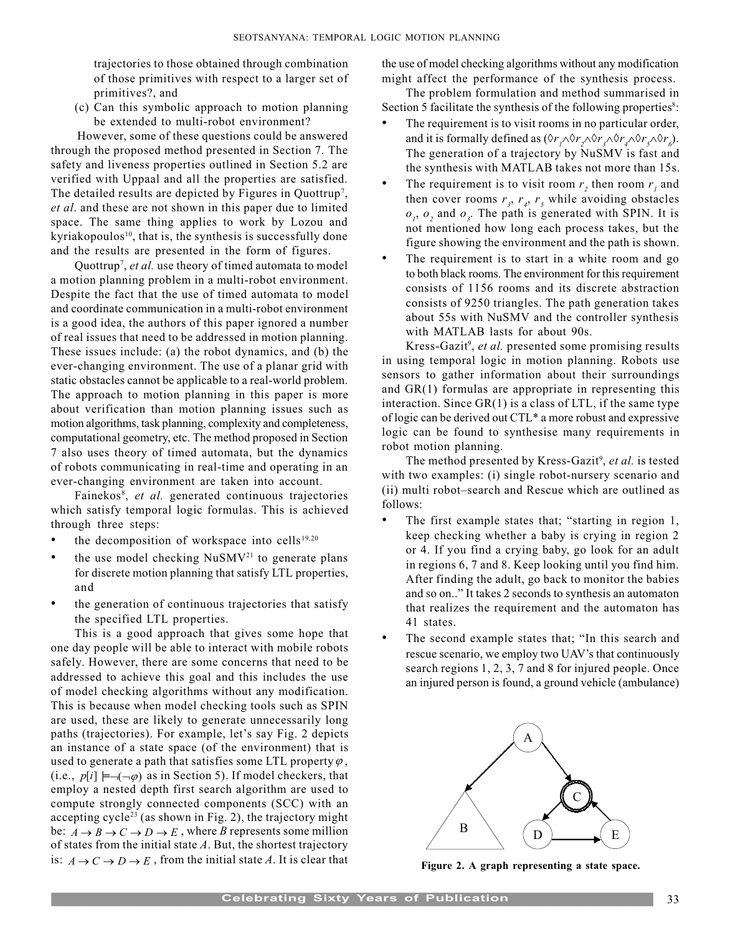trajectories to those obtained through combination of those primitives with respect to a larger set of primitives?, and

(c) Can this symbolic approach to motion planning be extended to multi-robot environment?

 However, some of these questions could be answered through the proposed method presented in Section 7. The safety and liveness properties outlined in Section 5.2 are verified with Uppaal and all the properties are satisfied. The detailed results are depicted by Figures in Quottrup<sup>7</sup>, et al. and these are not shown in this paper due to limited space. The same thing applies to work by Lozou and kyriakopoulos $10$ , that is, the synthesis is successfully done and the results are presented in the form of figures.

Quottrup<sup>7</sup>, et al. use theory of timed automata to model a motion planning problem in a multi-robot environment. Despite the fact that the use of timed automata to model and coordinate communication in a multi-robot environment is a good idea, the authors of this paper ignored a number of real issues that need to be addressed in motion planning. These issues include: (a) the robot dynamics, and (b) the ever-changing environment. The use of a planar grid with static obstacles cannot be applicable to a real-world problem. The approach to motion planning in this paper is more about verification than motion planning issues such as motion algorithms, task planning, complexity and completeness, computational geometry, etc. The method proposed in Section 7 also uses theory of timed automata, but the dynamics of robots communicating in real-time and operating in an ever-changing environment are taken into account.

Fainekos<sup>8</sup>, et al. generated continuous trajectories which satisfy temporal logic formulas. This is achieved through three steps:

- the decomposition of workspace into cells<sup>19,20</sup>
- $\bullet$  the use model checking NuSMV<sup>21</sup> to generate plans for discrete motion planning that satisfy LTL properties, and
- the generation of continuous trajectories that satisfy the specified LTL properties.

This is a good approach that gives some hope that one day people will be able to interact with mobile robots safely. However, there are some concerns that need to be addressed to achieve this goal and this includes the use of model checking algorithms without any modification. This is because when model checking tools such as SPIN are used, these are likely to generate unnecessarily long paths (trajectories). For example, let's say Fig. 2 depicts an instance of a state space (of the environment) that is used to generate a path that satisfies some LTL property  $\varphi$ , (i.e.,  $p[i] \models \neg(\neg \varphi)$  as in Section 5). If model checkers, that employ a nested depth first search algorithm are used to compute strongly connected components (SCC) with an accepting cycle<sup>23</sup> (as shown in Fig. 2), the trajectory might be:  $A \rightarrow B \rightarrow C \rightarrow D \rightarrow E$ , where *B* represents some million of states from the initial state  $A$ . But, the shortest trajectory is:  $A \rightarrow C \rightarrow D \rightarrow E$ , from the initial state A. It is clear that

the use of model checking algorithms without any modification might affect the performance of the synthesis process.

The problem formulation and method summarised in Section 5 facilitate the synthesis of the following properties<sup>8</sup>:

- The requirement is to visit rooms in no particular order, and it is formally defined as  $(\Diamond r_1 \land \Diamond r_2 \land \Diamond r_3 \land \Diamond r_4 \land \Diamond r_5 \land \Diamond r_6)$ . The generation of a trajectory by NuSMV is fast and the synthesis with MATLAB takes not more than 15s.
- The requirement is to visit room  $r_2$  then room  $r_1$  and then cover rooms  $r<sub>3</sub>$ ,  $r<sub>4</sub>$ ,  $r<sub>5</sub>$  while avoiding obstacles  $o_1$ ,  $o_2$  and  $o_3$ . The path is generated with SPIN. It is not mentioned how long each process takes, but the figure showing the environment and the path is shown.
- The requirement is to start in a white room and go to both black rooms. The environment for this requirement consists of 1156 rooms and its discrete abstraction consists of 9250 triangles. The path generation takes about 55s with NuSMV and the controller synthesis with MATLAB lasts for about 90s.

Kress-Gazit<sup>9</sup>, et al. presented some promising results in using temporal logic in motion planning. Robots use sensors to gather information about their surroundings and GR(1) formulas are appropriate in representing this interaction. Since GR(1) is a class of LTL, if the same type of logic can be derived out CTL\* a more robust and expressive logic can be found to synthesise many requirements in robot motion planning.

The method presented by Kress-Gazit<sup>9</sup>, et al. is tested with two examples: (i) single robot-nursery scenario and (ii) multi robot-search and Rescue which are outlined as follows:

- The first example states that; "starting in region 1, keep checking whether a baby is crying in region 2 or 4. If you find a crying baby, go look for an adult in regions 6, 7 and 8. Keep looking until you find him. After finding the adult, go back to monitor the babies and so on.." It takes 2 seconds to synthesis an automaton that realizes the requirement and the automaton has 41 states.
- The second example states that; "In this search and rescue scenario, we employ two UAV's that continuously search regions 1, 2, 3, 7 and 8 for injured people. Once an injured person is found, a ground vehicle (ambulance)



Figure 2. A graph representing a state space.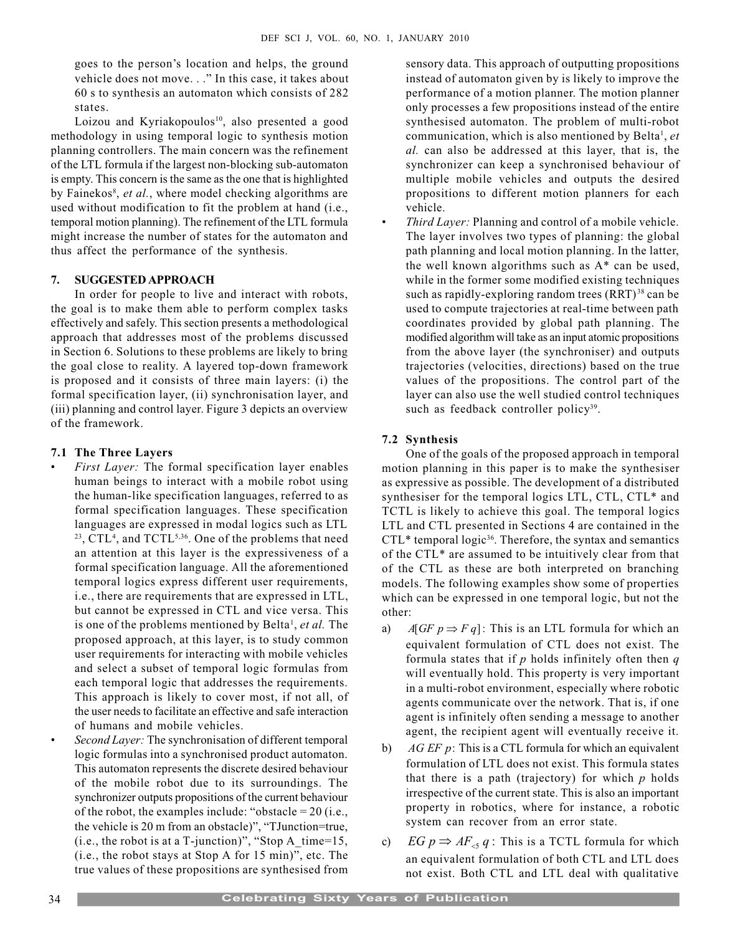goes to the person's location and helps, the ground vehicle does not move..." In this case, it takes about 60 s to synthesis an automaton which consists of 282 states.

Loizou and Kyriakopoulos<sup>10</sup>, also presented a good methodology in using temporal logic to synthesis motion planning controllers. The main concern was the refinement of the LTL formula if the largest non-blocking sub-automaton is empty. This concern is the same as the one that is highlighted by Fainekos<sup>8</sup>, et al., where model checking algorithms are used without modification to fit the problem at hand (i.e., temporal motion planning). The refinement of the LTL formula might increase the number of states for the automaton and thus affect the performance of the synthesis.

# 7. SUGGESTED APPROACH

In order for people to live and interact with robots, the goal is to make them able to perform complex tasks effectively and safely. This section presents a methodological approach that addresses most of the problems discussed in Section 6. Solutions to these problems are likely to bring the goal close to reality. A layered top-down framework is proposed and it consists of three main layers: (i) the formal specification layer, (ii) synchronisation layer, and (iii) planning and control layer. Figure 3 depicts an overview of the framework.

# 7.1 The Three Layers

- First Layer: The formal specification layer enables human beings to interact with a mobile robot using the human-like specification languages, referred to as formal specification languages. These specification languages are expressed in modal logics such as LTL  $2<sup>23</sup>$ , CTL<sup>4</sup>, and TCTL<sup>5,36</sup>. One of the problems that need an attention at this layer is the expressiveness of a formal specification language. All the aforementioned temporal logics express different user requirements, i.e., there are requirements that are expressed in LTL, but cannot be expressed in CTL and vice versa. This is one of the problems mentioned by Belta<sup>1</sup>, et al. The proposed approach, at this layer, is to study common user requirements for interacting with mobile vehicles and select a subset of temporal logic formulas from each temporal logic that addresses the requirements. This approach is likely to cover most, if not all, of the user needs to facilitate an effective and safe interaction of humans and mobile vehicles.
	- Second Layer: The synchronisation of different temporal logic formulas into a synchronised product automaton. This automaton represents the discrete desired behaviour of the mobile robot due to its surroundings. The synchronizer outputs propositions of the current behaviour of the robot, the examples include: "obstacle =  $20$  (i.e., the vehicle is 20 m from an obstacle)", "TJunction=true, (i.e., the robot is at a T-junction)", "Stop  $A_time=15$ ,  $(i.e., the robot stays at Stop A for 15 min)$ , etc. The true values of these propositions are synthesised from

sensory data. This approach of outputting propositions instead of automaton given by is likely to improve the performance of a motion planner. The motion planner only processes a few propositions instead of the entire synthesised automaton. The problem of multi-robot communication, which is also mentioned by Belta<sup>1</sup>, et al. can also be addressed at this layer, that is, the synchronizer can keep a synchronised behaviour of multiple mobile vehicles and outputs the desired propositions to different motion planners for each vehicle.

 Third Layer: Planning and control of a mobile vehicle. The layer involves two types of planning: the global path planning and local motion planning. In the latter, the well known algorithms such as A\* can be used, while in the former some modified existing techniques such as rapidly-exploring random trees (RRT)<sup>38</sup> can be used to compute trajectories at real-time between path coordinates provided by global path planning. The modified algorithm will take as an input atomic propositions from the above layer (the synchroniser) and outputs trajectories (velocities, directions) based on the true values of the propositions. The control part of the layer can also use the well studied control techniques such as feedback controller policy<sup>39</sup>.

# 7.2 Synthesis

One of the goals of the proposed approach in temporal motion planning in this paper is to make the synthesiser as expressive as possible. The development of a distributed synthesiser for the temporal logics LTL, CTL, CTL\* and TCTL is likely to achieve this goal. The temporal logics LTL and CTL presented in Sections 4 are contained in the  $CTL^*$  temporal logic<sup>36</sup>. Therefore, the syntax and semantics of the CTL\* are assumed to be intuitively clear from that of the CTL as these are both interpreted on branching models. The following examples show some of properties which can be expressed in one temporal logic, but not the other:

- a)  $A[GF \, p \Rightarrow F q]$ : This is an LTL formula for which an equivalent formulation of CTL does not exist. The formula states that if  $p$  holds infinitely often then  $q$ will eventually hold. This property is very important in a multi-robot environment, especially where robotic agents communicate over the network. That is, if one agent is infinitely often sending a message to another agent, the recipient agent will eventually receive it.
- b)  $AG EF$  p: This is a CTL formula for which an equivalent formulation of LTL does not exist. This formula states that there is a path (trajectory) for which  $p$  holds irrespective of the current state. This is also an important property in robotics, where for instance, a robotic system can recover from an error state.
- c)  $EG p \Rightarrow AF_{\leq q}$ : This is a TCTL formula for which an equivalent formulation of both CTL and LTL does not exist. Both CTL and LTL deal with qualitative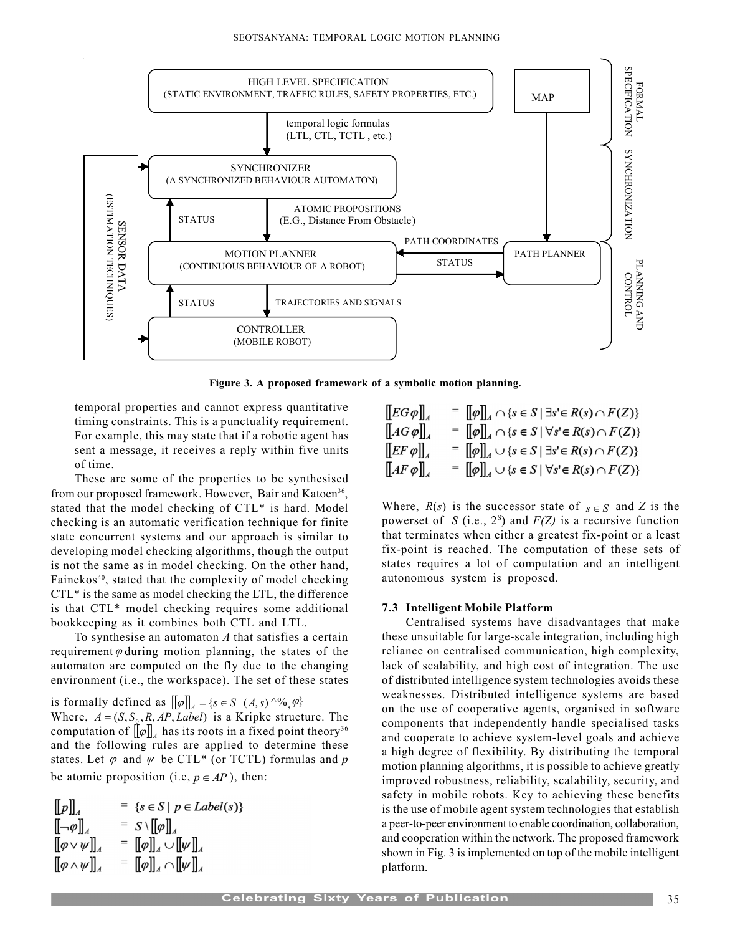

Figure 3. A proposed framework of a symbolic motion planning.

temporal properties and cannot express quantitative timing constraints. This is a punctuality requirement. For example, this may state that if a robotic agent has sent a message, it receives a reply within five units of time.

These are some of the properties to be synthesised from our proposed framework. However, Bair and Katoen<sup>36</sup>, stated that the model checking of CTL\* is hard. Model checking is an automatic verification technique for finite state concurrent systems and our approach is similar to developing model checking algorithms, though the output is not the same as in model checking. On the other hand, Fainekos<sup>40</sup>, stated that the complexity of model checking CTL\* is the same as model checking the LTL, the difference is that CTL\* model checking requires some additional bookkeeping as it combines both CTL and LTL.

To synthesise an automaton  $A$  that satisfies a certain requirement  $\varphi$  during motion planning, the states of the automaton are computed on the fly due to the changing environment (i.e., the workspace). The set of these states

is formally defined as  $[\![\varphi]\!]_A = \{s \in S \mid (A, s) \wedge \mathcal{N}_s \varphi\}$ Where,  $A = (S, S_0, R, AP, Label)$  is a Kripke structure. The computation of  $\llbracket \varphi \rrbracket_4$  has its roots in a fixed point theory<sup>36</sup> and the following rules are applied to determine these states. Let  $\varphi$  and  $\psi$  be CTL\* (or TCTL) formulas and p be atomic proposition (i.e,  $p \in AP$ ), then:

$$
\begin{array}{ll}\n\llbracket p \rrbracket_A & = \{ s \in S \mid p \in Label(s) \} \\
\llbracket -\varphi \rrbracket_A & = S \setminus \llbracket \varphi \rrbracket_A \\
\llbracket \varphi \vee \psi \rrbracket_A & = \llbracket \varphi \rrbracket_A \cup \llbracket \psi \rrbracket_A \\
\llbracket \varphi \wedge \psi \rrbracket_A & = \llbracket \varphi \rrbracket_A \cap \llbracket \psi \rrbracket_A\n\end{array}
$$

$$
\begin{array}{ll}\n\begin{bmatrix}\nE G \varphi\n\end{bmatrix}_A & = \begin{bmatrix} \varphi \end{bmatrix}_A \cap \{s \in S \mid \exists s' \in R(s) \cap F(Z)\} \\
= \begin{bmatrix} \varphi \end{bmatrix}_A \cap \{s \in S \mid \forall s' \in R(s) \cap F(Z)\} \\
\begin{bmatrix} EF \varphi \end{bmatrix}_A & = \begin{bmatrix} \varphi \end{bmatrix}_A \cup \{s \in S \mid \exists s' \in R(s) \cap F(Z)\} \\
= \begin{bmatrix} \varphi \end{bmatrix}_A \cup \{s \in S \mid \exists s' \in R(s) \cap F(Z)\} \\
= \begin{bmatrix} \varphi \end{bmatrix}_A \cup \{s \in S \mid \forall s' \in R(s) \cap F(Z)\}\n\end{array}
$$

Where,  $R(s)$  is the successor state of  $s \in S$  and Z is the powerset of S (i.e.,  $2^s$ ) and  $F(Z)$  is a recursive function that terminates when either a greatest fix-point or a least fix-point is reached. The computation of these sets of states requires a lot of computation and an intelligent autonomous system is proposed.

#### 7.3 Intelligent Mobile Platform

Centralised systems have disadvantages that make these unsuitable for large-scale integration, including high reliance on centralised communication, high complexity, lack of scalability, and high cost of integration. The use of distributed intelligence system technologies avoids these weaknesses. Distributed intelligence systems are based on the use of cooperative agents, organised in software components that independently handle specialised tasks and cooperate to achieve system-level goals and achieve a high degree of flexibility. By distributing the temporal motion planning algorithms, it is possible to achieve greatly improved robustness, reliability, scalability, security, and safety in mobile robots. Key to achieving these benefits is the use of mobile agent system technologies that establish a peer-to-peer environment to enable coordination, collaboration, and cooperation within the network. The proposed framework shown in Fig. 3 is implemented on top of the mobile intelligent platform.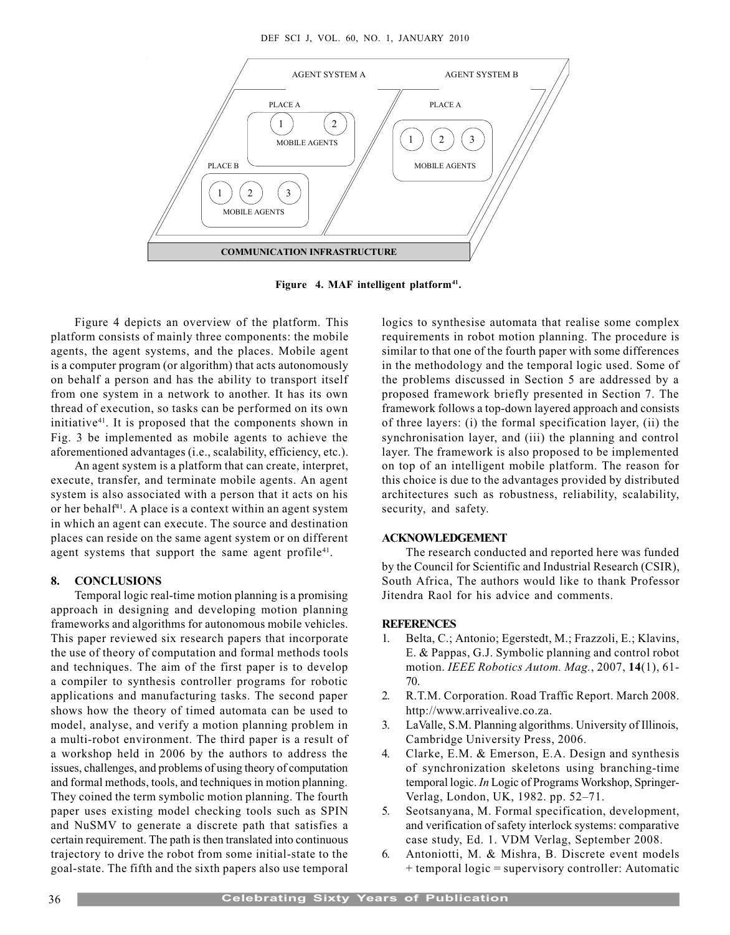

Figure 4. MAF intelligent platform<sup>41</sup>.

Figure 4 depicts an overview of the platform. This platform consists of mainly three components: the mobile agents, the agent systems, and the places. Mobile agent is a computer program (or algorithm) that acts autonomously on behalf a person and has the ability to transport itself from one system in a network to another. It has its own thread of execution, so tasks can be performed on its own initiative<sup>41</sup>. It is proposed that the components shown in Fig. 3 be implemented as mobile agents to achieve the aforementioned advantages (i.e., scalability, efficiency, etc.).

An agent system is a platform that can create, interpret, execute, transfer, and terminate mobile agents. An agent system is also associated with a person that it acts on his or her behalf<sup>41</sup>. A place is a context within an agent system in which an agent can execute. The source and destination places can reside on the same agent system or on different agent systems that support the same agent profile<sup>41</sup>.

# 8. CONCLUSIONS

Temporal logic real-time motion planning is a promising approach in designing and developing motion planning frameworks and algorithms for autonomous mobile vehicles. This paper reviewed six research papers that incorporate the use of theory of computation and formal methods tools and techniques. The aim of the first paper is to develop a compiler to synthesis controller programs for robotic applications and manufacturing tasks. The second paper shows how the theory of timed automata can be used to model, analyse, and verify a motion planning problem in a multi-robot environment. The third paper is a result of a workshop held in 2006 by the authors to address the issues, challenges, and problems of using theory of computation and formal methods, tools, and techniques in motion planning. They coined the term symbolic motion planning. The fourth paper uses existing model checking tools such as SPIN and NuSMV to generate a discrete path that satisfies a certain requirement. The path is then translated into continuous trajectory to drive the robot from some initial-state to the goal-state. The fifth and the sixth papers also use temporal logics to synthesise automata that realise some complex requirements in robot motion planning. The procedure is similar to that one of the fourth paper with some differences in the methodology and the temporal logic used. Some of the problems discussed in Section 5 are addressed by a proposed framework briefly presented in Section 7. The framework follows a top-down layered approach and consists of three layers: (i) the formal specification layer, (ii) the synchronisation layer, and (iii) the planning and control layer. The framework is also proposed to be implemented on top of an intelligent mobile platform. The reason for this choice is due to the advantages provided by distributed architectures such as robustness, reliability, scalability, security, and safety.

# ACKNOWLEDGEMENT

The research conducted and reported here was funded by the Council for Scientific and Industrial Research (CSIR), South Africa, The authors would like to thank Professor Jitendra Raol for his advice and comments.

# **REFERENCES**

- 1. Belta, C.; Antonio; Egerstedt, M.; Frazzoli, E.; Klavins, E. & Pappas, G.J. Symbolic planning and control robot motion. IEEE Robotics Autom. Mag., 2007, 14(1), 61-70.
- 2. R.T.M. Corporation. Road Traffic Report. March 2008. http://www.arrivealive.co.za.
- 3. LaValle, S.M. Planning algorithms. University of Illinois, Cambridge University Press, 2006.
- 4. Clarke, E.M. & Emerson, E.A. Design and synthesis of synchronization skeletons using branching-time temporal logic. In Logic of Programs Workshop, Springer-Verlag, London, UK, 1982. pp. 52-71.
- 5. Seotsanyana, M. Formal specification, development, and verification of safety interlock systems: comparative case study, Ed. 1. VDM Verlag, September 2008.
- 6. Antoniotti, M. & Mishra, B. Discrete event models + temporal logic = supervisory controller: Automatic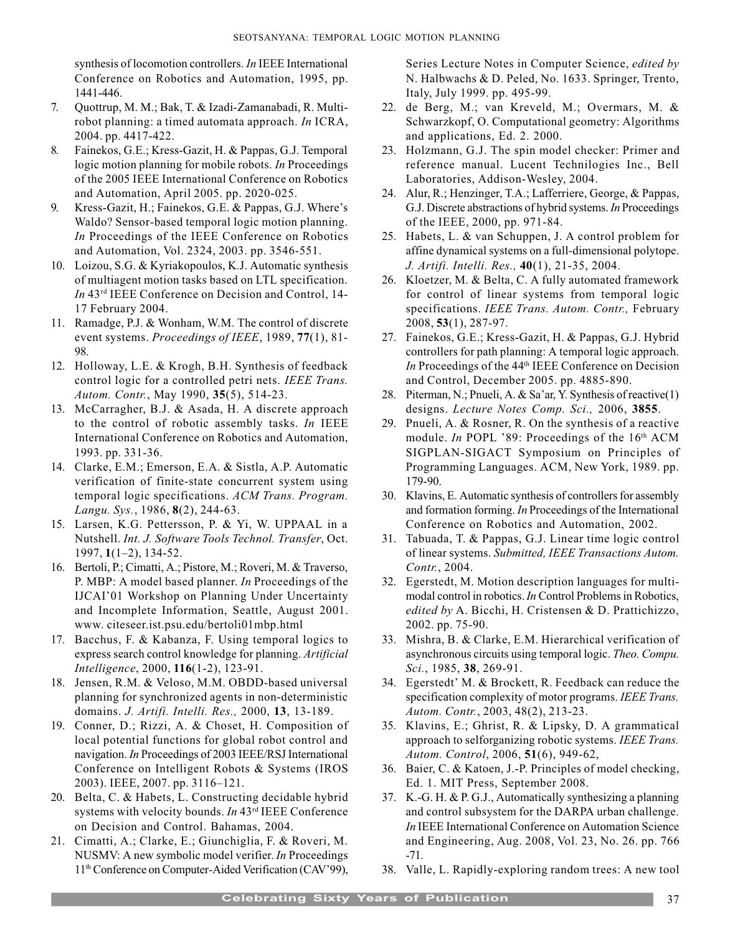synthesis of locomotion controllers. In IEEE International Conference on Robotics and Automation, 1995, pp. 1441-446.

- 7. Quottrup, M. M.; Bak, T. & Izadi-Zamanabadi, R. Multirobot planning: a timed automata approach. In ICRA, 2004. pp. 4417-422.
- 8. Fainekos, G.E.; Kress-Gazit, H. & Pappas, G.J. Temporal logic motion planning for mobile robots. In Proceedings of the 2005 IEEE International Conference on Robotics and Automation, April 2005. pp. 2020-025.
- 9. Kress-Gazit, H.; Fainekos, G.E. & Pappas, G.J. Where's Waldo? Sensor-based temporal logic motion planning. In Proceedings of the IEEE Conference on Robotics and Automation, Vol. 2324, 2003. pp. 3546-551.
- 10. Loizou, S.G. & Kyriakopoulos, K.J. Automatic synthesis of multiagent motion tasks based on LTL specification. In 43rd IEEE Conference on Decision and Control, 14- 17 February 2004.
- 11. Ramadge, P.J. & Wonham, W.M. The control of discrete event systems. Proceedings of IEEE, 1989, 77(1), 81- 98.
- 12. Holloway, L.E. & Krogh, B.H. Synthesis of feedback control logic for a controlled petri nets. IEEE Trans. Autom. Contr., May 1990, 35(5), 514-23.
- 13. McCarragher, B.J. & Asada, H. A discrete approach to the control of robotic assembly tasks. In IEEE International Conference on Robotics and Automation, 1993. pp. 331-36.
- 14. Clarke, E.M.; Emerson, E.A. & Sistla, A.P. Automatic verification of finite-state concurrent system using temporal logic specifications. ACM Trans. Program. Langu. Sys., 1986, 8(2), 244-63.
- 15. Larsen, K.G. Pettersson, P. & Yi, W. UPPAAL in a Nutshell. Int. J. Software Tools Technol. Transfer, Oct.  $1997, 1(1-2), 134-52.$
- 16. Bertoli, P.; Cimatti, A.; Pistore, M.; Roveri, M. & Traverso, P. MBP: A model based planner. In Proceedings of the IJCAI'01 Workshop on Planning Under Uncertainty and Incomplete Information, Seattle, August 2001. www. citeseer.ist.psu.edu/bertoli01mbp.html
- 17. Bacchus, F. & Kabanza, F. Using temporal logics to express search control knowledge for planning. Artificial Intelligence, 2000, 116(1-2), 123-91.
- 18. Jensen, R.M. & Veloso, M.M. OBDD-based universal planning for synchronized agents in non-deterministic domains. J. Artifi. Intelli. Res., 2000, 13, 13-189.
- 19. Conner, D.; Rizzi, A. & Choset, H. Composition of local potential functions for global robot control and navigation. In Proceedings of 2003 IEEE/RSJ International Conference on Intelligent Robots & Systems (IROS 2003). IEEE, 2007. pp. 3116-121.
- 20. Belta, C. & Habets, L. Constructing decidable hybrid systems with velocity bounds. In 43rd IEEE Conference on Decision and Control. Bahamas, 2004.
- 21. Cimatti, A.; Clarke, E.; Giunchiglia, F. & Roveri, M. NUSMV: A new symbolic model verifier. In Proceedings 11<sup>th</sup> Conference on Computer-Aided Verification (CAV'99),

Series Lecture Notes in Computer Science, edited by N. Halbwachs & D. Peled, No. 1633. Springer, Trento, Italy, July 1999. pp. 495-99.

- 22. de Berg, M.; van Kreveld, M.; Overmars, M. & Schwarzkopf, O. Computational geometry: Algorithms and applications, Ed. 2. 2000.
- 23. Holzmann, G.J. The spin model checker: Primer and reference manual. Lucent Technilogies Inc., Bell Laboratories, Addison-Wesley, 2004.
- 24. Alur, R.; Henzinger, T.A.; Lafferriere, George, & Pappas, G.J. Discrete abstractions of hybrid systems. In Proceedings of the IEEE, 2000, pp. 971-84.
- 25. Habets, L. & van Schuppen, J. A control problem for affine dynamical systems on a full-dimensional polytope. J. Artifi. Intelli. Res., 40(1), 21-35, 2004.
- 26. Kloetzer, M. & Belta, C. A fully automated framework for control of linear systems from temporal logic specifications. IEEE Trans. Autom. Contr., February 2008, 53(1), 287-97.
- 27. Fainekos, G.E.; Kress-Gazit, H. & Pappas, G.J. Hybrid controllers for path planning: A temporal logic approach. In Proceedings of the 44<sup>th</sup> IEEE Conference on Decision and Control, December 2005. pp. 4885-890.
- 28. Piterman, N.; Pnueli, A. & Sa'ar, Y. Synthesis of reactive(1) designs. Lecture Notes Comp. Sci., 2006, 3855.
- 29. Pnueli, A. & Rosner, R. On the synthesis of a reactive module. In POPL '89: Proceedings of the 16th ACM SIGPLAN-SIGACT Symposium on Principles of Programming Languages. ACM, New York, 1989. pp. 179-90.
- 30. Klavins, E. Automatic synthesis of controllers for assembly and formation forming. In Proceedings of the International Conference on Robotics and Automation, 2002.
- 31. Tabuada, T. & Pappas, G.J. Linear time logic control of linear systems. Submitted, IEEE Transactions Autom. Contr., 2004.
- 32. Egerstedt, M. Motion description languages for multimodal control in robotics. In Control Problems in Robotics, edited by A. Bicchi, H. Cristensen & D. Prattichizzo, 2002. pp. 75-90.
- 33. Mishra, B. & Clarke, E.M. Hierarchical verification of asynchronous circuits using temporal logic. Theo. Compu. Sci., 1985, 38, 269-91.
- 34. Egerstedt' M. & Brockett, R. Feedback can reduce the specification complexity of motor programs. IEEE Trans. Autom. Contr., 2003, 48(2), 213-23.
- 35. Klavins, E.; Ghrist, R. & Lipsky, D. A grammatical approach to selforganizing robotic systems. IEEE Trans. Autom. Control, 2006, 51(6), 949-62,
- 36. Baier, C. & Katoen, J.-P. Principles of model checking, Ed. 1. MIT Press, September 2008.
- 37. K.-G. H. & P. G.J., Automatically synthesizing a planning and control subsystem for the DARPA urban challenge. In IEEE International Conference on Automation Science and Engineering, Aug. 2008, Vol. 23, No. 26. pp. 766 -71.
- 38. Valle, L. Rapidly-exploring random trees: A new tool